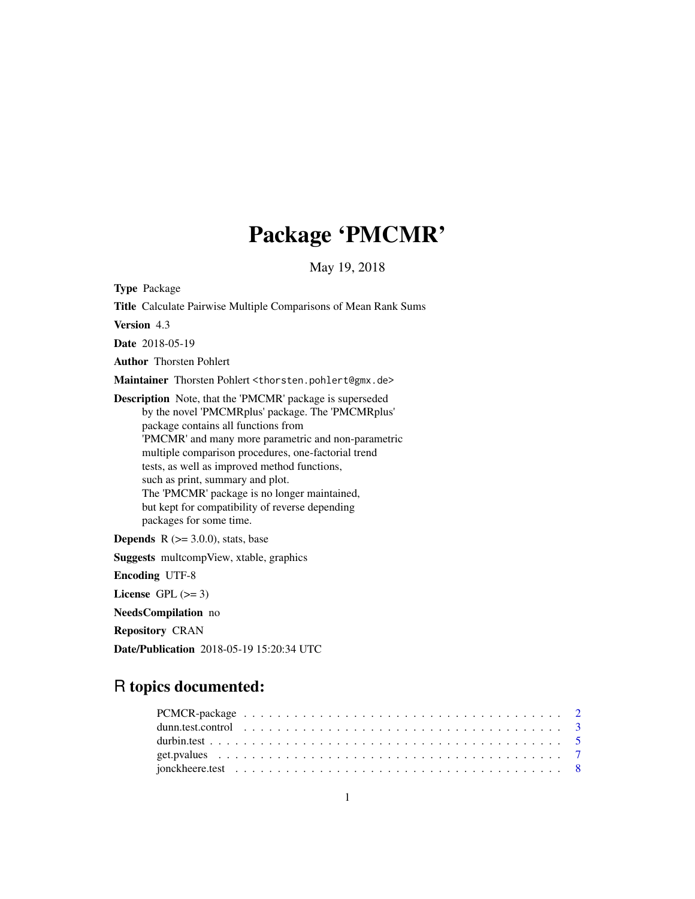## Package 'PMCMR'

May 19, 2018

<span id="page-0-0"></span>Type Package Title Calculate Pairwise Multiple Comparisons of Mean Rank Sums Version 4.3 Date 2018-05-19 Author Thorsten Pohlert Maintainer Thorsten Pohlert <thorsten.pohlert@gmx.de> Description Note, that the 'PMCMR' package is superseded by the novel 'PMCMRplus' package. The 'PMCMRplus' package contains all functions from 'PMCMR' and many more parametric and non-parametric multiple comparison procedures, one-factorial trend tests, as well as improved method functions, such as print, summary and plot. The 'PMCMR' package is no longer maintained, but kept for compatibility of reverse depending packages for some time. **Depends**  $R$  ( $>=$  3.0.0), stats, base Suggests multcompView, xtable, graphics Encoding UTF-8 License GPL  $(>= 3)$ NeedsCompilation no Repository CRAN

## R topics documented:

Date/Publication 2018-05-19 15:20:34 UTC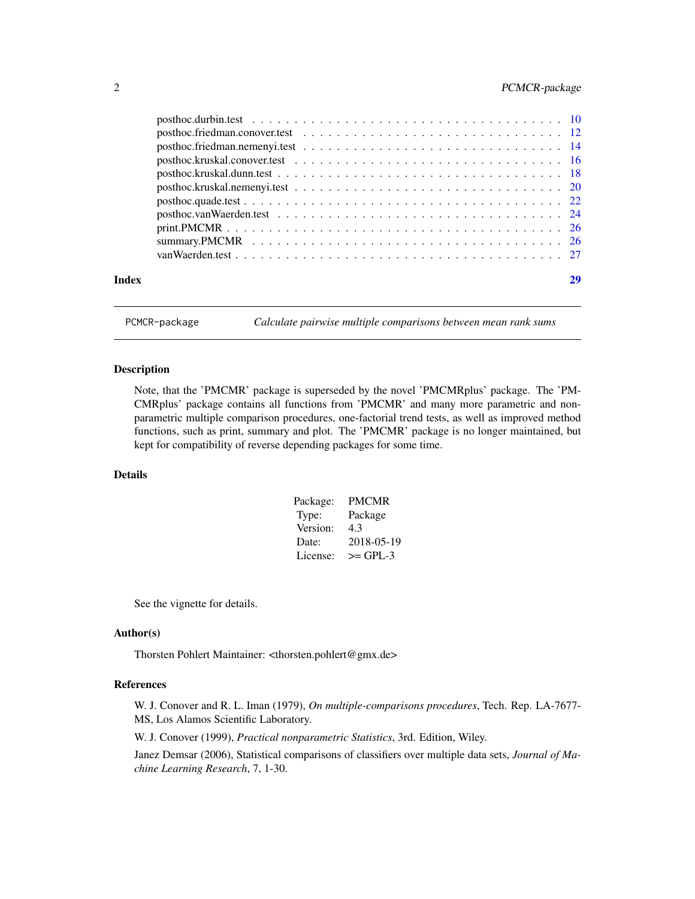## <span id="page-1-0"></span>2 PCMCR-package

|       | $posthoc.kruskal.nemenyi.test \ldots \ldots \ldots \ldots \ldots \ldots \ldots \ldots \ldots \ldots 20$ |    |
|-------|---------------------------------------------------------------------------------------------------------|----|
|       |                                                                                                         |    |
|       |                                                                                                         |    |
|       |                                                                                                         |    |
|       |                                                                                                         |    |
|       |                                                                                                         |    |
| Index |                                                                                                         | 29 |
|       |                                                                                                         |    |

PCMCR-package *Calculate pairwise multiple comparisons between mean rank sums*

## Description

Note, that the 'PMCMR' package is superseded by the novel 'PMCMRplus' package. The 'PM-CMRplus' package contains all functions from 'PMCMR' and many more parametric and nonparametric multiple comparison procedures, one-factorial trend tests, as well as improved method functions, such as print, summary and plot. The 'PMCMR' package is no longer maintained, but kept for compatibility of reverse depending packages for some time.

## Details

| Package: | PMCMR      |
|----------|------------|
| Type:    | Package    |
| Version: | 4.3        |
| Date:    | 2018-05-19 |
| License: | $>=$ GPL-3 |

See the vignette for details.

### Author(s)

Thorsten Pohlert Maintainer: <thorsten.pohlert@gmx.de>

#### References

W. J. Conover and R. L. Iman (1979), *On multiple-comparisons procedures*, Tech. Rep. LA-7677- MS, Los Alamos Scientific Laboratory.

W. J. Conover (1999), *Practical nonparametric Statistics*, 3rd. Edition, Wiley.

Janez Demsar (2006), Statistical comparisons of classifiers over multiple data sets, *Journal of Machine Learning Research*, 7, 1-30.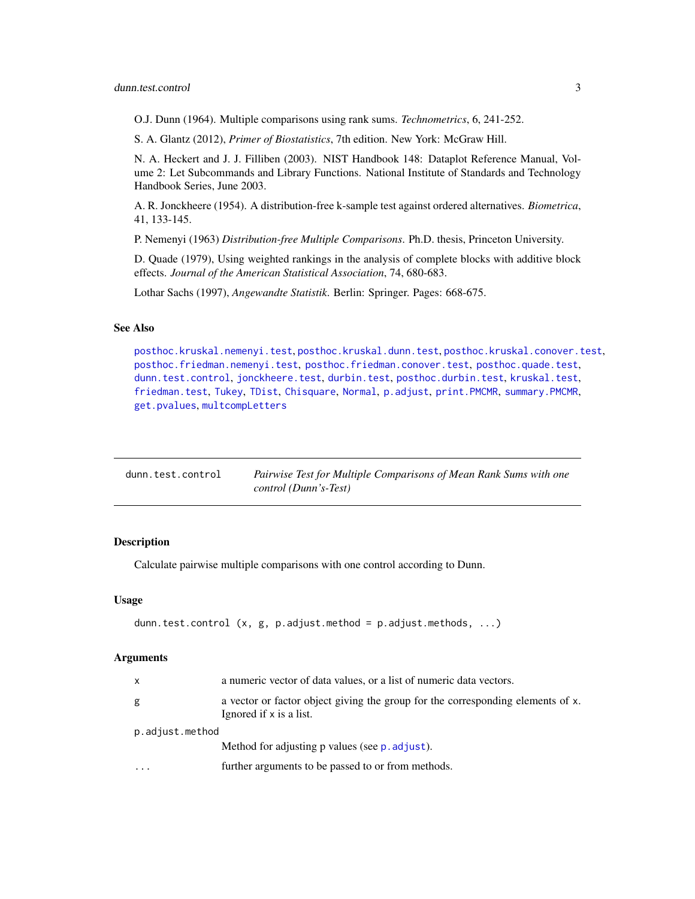<span id="page-2-0"></span>O.J. Dunn (1964). Multiple comparisons using rank sums. *Technometrics*, 6, 241-252.

S. A. Glantz (2012), *Primer of Biostatistics*, 7th edition. New York: McGraw Hill.

N. A. Heckert and J. J. Filliben (2003). NIST Handbook 148: Dataplot Reference Manual, Volume 2: Let Subcommands and Library Functions. National Institute of Standards and Technology Handbook Series, June 2003.

A. R. Jonckheere (1954). A distribution-free k-sample test against ordered alternatives. *Biometrica*, 41, 133-145.

P. Nemenyi (1963) *Distribution-free Multiple Comparisons*. Ph.D. thesis, Princeton University.

D. Quade (1979), Using weighted rankings in the analysis of complete blocks with additive block effects. *Journal of the American Statistical Association*, 74, 680-683.

Lothar Sachs (1997), *Angewandte Statistik*. Berlin: Springer. Pages: 668-675.

#### See Also

[posthoc.kruskal.nemenyi.test](#page-19-1), [posthoc.kruskal.dunn.test](#page-17-1), [posthoc.kruskal.conover.test](#page-15-1), [posthoc.friedman.nemenyi.test](#page-13-1), [posthoc.friedman.conover.test](#page-11-1), [posthoc.quade.test](#page-21-1), [dunn.test.control](#page-2-1), [jonckheere.test](#page-7-1), [durbin.test](#page-4-1), [posthoc.durbin.test](#page-9-1), [kruskal.test](#page-0-0), [friedman.test](#page-0-0), [Tukey](#page-0-0), [TDist](#page-0-0), [Chisquare](#page-0-0), [Normal](#page-0-0), [p.adjust](#page-0-0), [print.PMCMR](#page-25-1), [summary.PMCMR](#page-25-2), [get.pvalues](#page-6-1), [multcompLetters](#page-0-0)

<span id="page-2-1"></span>

| dunn.test.control | Pairwise Test for Multiple Comparisons of Mean Rank Sums with one |
|-------------------|-------------------------------------------------------------------|
|                   | control (Dunn's-Test)                                             |

## **Description**

Calculate pairwise multiple comparisons with one control according to Dunn.

#### Usage

```
dunn.test.control (x, g, p.adjust.method = p.adjust.methods, ...)
```

| X | a numeric vector of data values, or a list of numeric data vectors.                                        |  |  |  |  |
|---|------------------------------------------------------------------------------------------------------------|--|--|--|--|
| g | a vector or factor object giving the group for the corresponding elements of x.<br>Ignored if x is a list. |  |  |  |  |
|   | p.adjust.method                                                                                            |  |  |  |  |
|   | Method for adjusting p values (see p. adjust).                                                             |  |  |  |  |
|   | further arguments to be passed to or from methods.                                                         |  |  |  |  |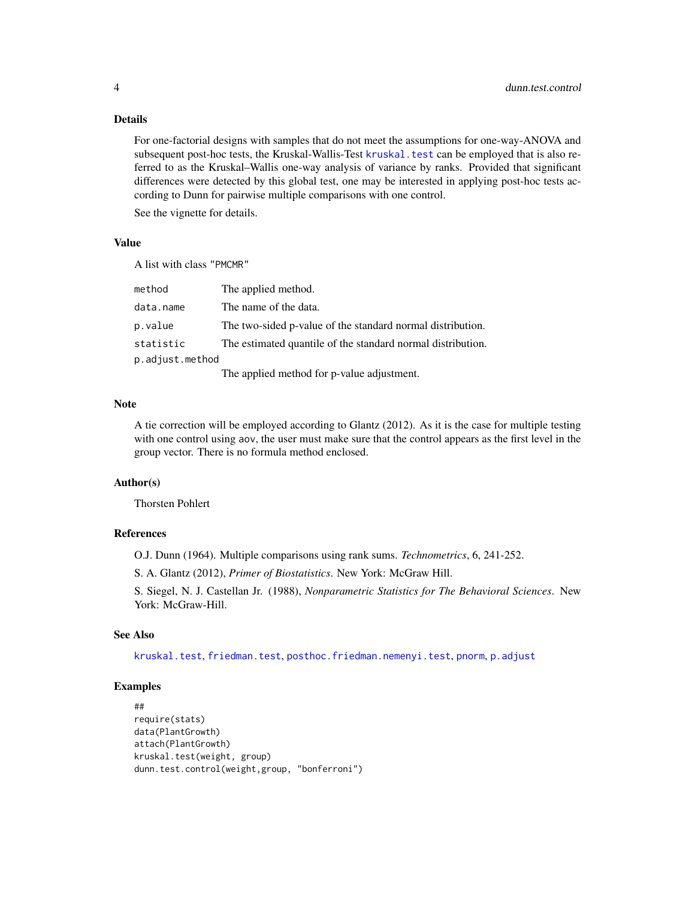For one-factorial designs with samples that do not meet the assumptions for one-way-ANOVA and subsequent post-hoc tests, the Kruskal-Wallis-Test [kruskal.test](#page-0-0) can be employed that is also referred to as the Kruskal–Wallis one-way analysis of variance by ranks. Provided that significant differences were detected by this global test, one may be interested in applying post-hoc tests according to Dunn for pairwise multiple comparisons with one control.

See the vignette for details.

## Value

A list with class "PMCMR"

| method          | The applied method.                                         |
|-----------------|-------------------------------------------------------------|
| data.name       | The name of the data.                                       |
| p.value         | The two-sided p-value of the standard normal distribution.  |
| statistic       | The estimated quantile of the standard normal distribution. |
| p.adjust.method |                                                             |
|                 | The applied method for p-value adjustment.                  |

#### Note

A tie correction will be employed according to Glantz (2012). As it is the case for multiple testing with one control using aov, the user must make sure that the control appears as the first level in the group vector. There is no formula method enclosed.

## Author(s)

Thorsten Pohlert

#### References

O.J. Dunn (1964). Multiple comparisons using rank sums. *Technometrics*, 6, 241-252.

S. A. Glantz (2012), *Primer of Biostatistics*. New York: McGraw Hill.

S. Siegel, N. J. Castellan Jr. (1988), *Nonparametric Statistics for The Behavioral Sciences*. New York: McGraw-Hill.

## See Also

[kruskal.test](#page-0-0), [friedman.test](#page-0-0), [posthoc.friedman.nemenyi.test](#page-13-1), [pnorm](#page-0-0), [p.adjust](#page-0-0)

```
##
require(stats)
data(PlantGrowth)
attach(PlantGrowth)
kruskal.test(weight, group)
dunn.test.control(weight,group, "bonferroni")
```
<span id="page-3-0"></span>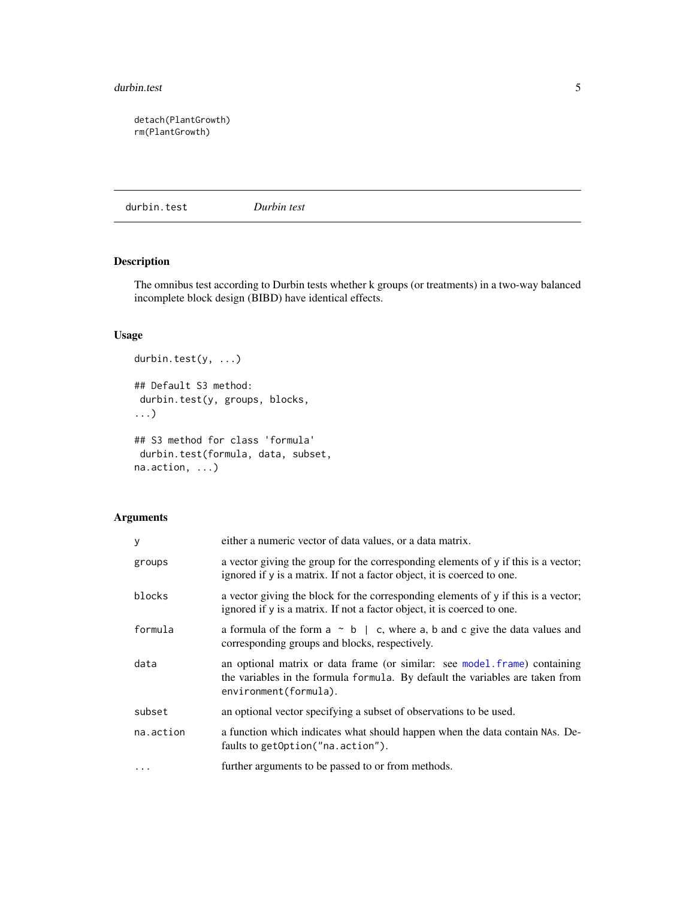#### <span id="page-4-0"></span>durbin.test 5

detach(PlantGrowth) rm(PlantGrowth)

<span id="page-4-1"></span>durbin.test *Durbin test*

## Description

The omnibus test according to Durbin tests whether k groups (or treatments) in a two-way balanced incomplete block design (BIBD) have identical effects.

#### Usage

```
durbin.test(y, ...)
## Default S3 method:
durbin.test(y, groups, blocks,
...)
## S3 method for class 'formula'
durbin.test(formula, data, subset,
na.action, ...)
```

| y         | either a numeric vector of data values, or a data matrix.                                                                                                                           |
|-----------|-------------------------------------------------------------------------------------------------------------------------------------------------------------------------------------|
| groups    | a vector giving the group for the corresponding elements of y if this is a vector;<br>ignored if y is a matrix. If not a factor object, it is coerced to one.                       |
| blocks    | a vector giving the block for the corresponding elements of y if this is a vector;<br>ignored if y is a matrix. If not a factor object, it is coerced to one.                       |
| formula   | a formula of the form $a \sim b \mid c$ , where a, b and c give the data values and<br>corresponding groups and blocks, respectively.                                               |
| data      | an optional matrix or data frame (or similar: see model.frame) containing<br>the variables in the formula formula. By default the variables are taken from<br>environment(formula). |
| subset    | an optional vector specifying a subset of observations to be used.                                                                                                                  |
| na.action | a function which indicates what should happen when the data contain NAs. De-<br>faults to getOption("na.action").                                                                   |
| $\cdots$  | further arguments to be passed to or from methods.                                                                                                                                  |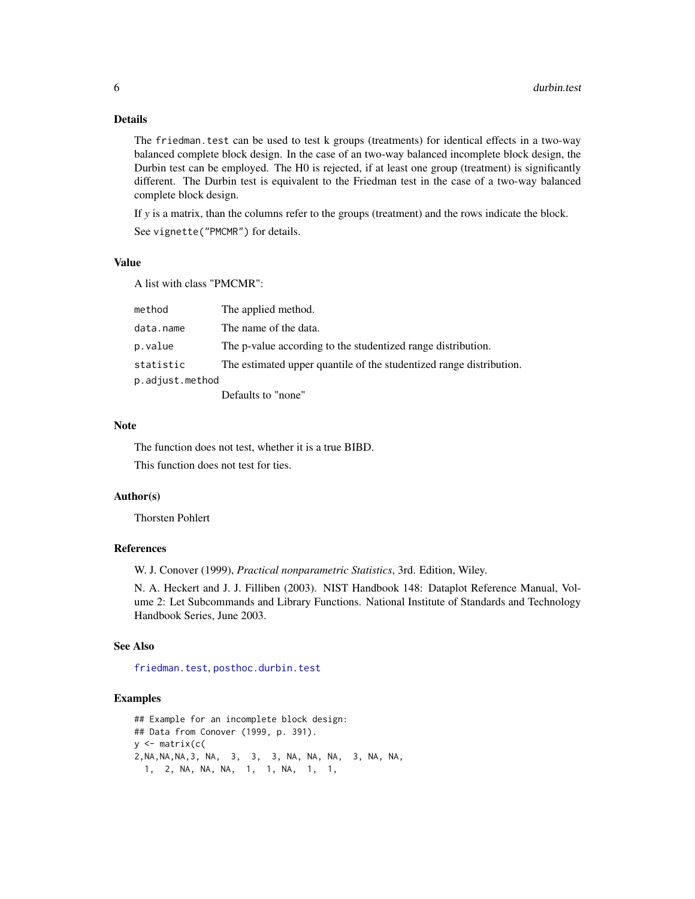<span id="page-5-0"></span>The friedman.test can be used to test k groups (treatments) for identical effects in a two-way balanced complete block design. In the case of an two-way balanced incomplete block design, the Durbin test can be employed. The H0 is rejected, if at least one group (treatment) is significantly different. The Durbin test is equivalent to the Friedman test in the case of a two-way balanced complete block design.

If *y* is a matrix, than the columns refer to the groups (treatment) and the rows indicate the block.

See vignette("PMCMR") for details.

## Value

A list with class "PMCMR":

| method          | The applied method.                                                 |
|-----------------|---------------------------------------------------------------------|
| data.name       | The name of the data.                                               |
| p.value         | The p-value according to the studentized range distribution.        |
| statistic       | The estimated upper quantile of the studentized range distribution. |
| p.adjust.method |                                                                     |
|                 | Defaults to "none"                                                  |

#### Note

The function does not test, whether it is a true BIBD. This function does not test for ties.

#### Author(s)

Thorsten Pohlert

## References

W. J. Conover (1999), *Practical nonparametric Statistics*, 3rd. Edition, Wiley.

N. A. Heckert and J. J. Filliben (2003). NIST Handbook 148: Dataplot Reference Manual, Volume 2: Let Subcommands and Library Functions. National Institute of Standards and Technology Handbook Series, June 2003.

#### See Also

[friedman.test](#page-0-0), [posthoc.durbin.test](#page-9-1)

```
## Example for an incomplete block design:
## Data from Conover (1999, p. 391).
y <- matrix(c(
2,NA,NA,NA,3, NA, 3, 3, 3, NA, NA, NA, 3, NA, NA,
 1, 2, NA, NA, NA, 1, 1, NA, 1, 1,
```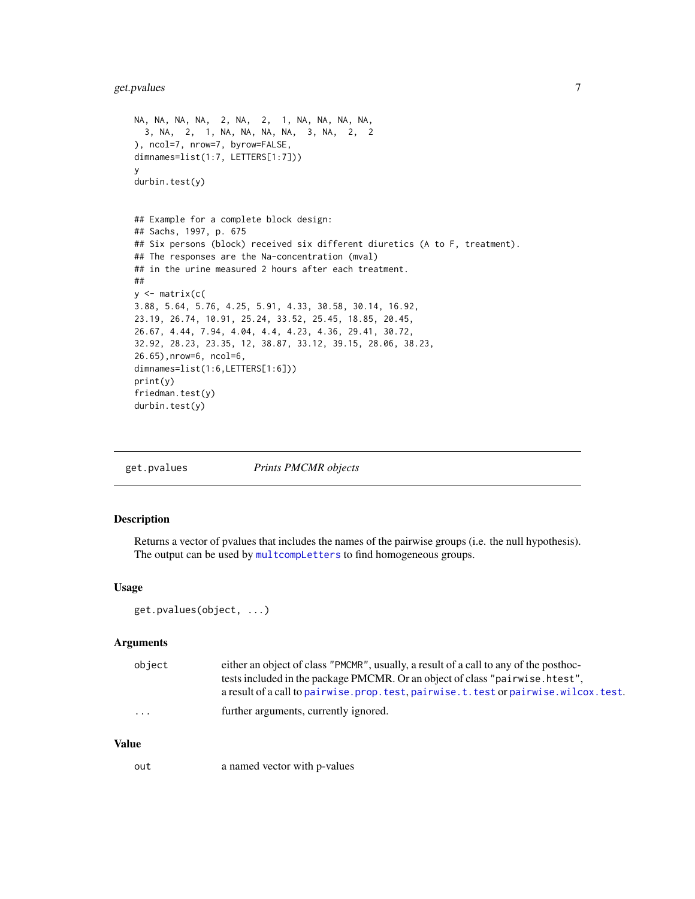## <span id="page-6-0"></span>get.pvalues 7

```
NA, NA, NA, NA, 2, NA, 2, 1, NA, NA, NA, NA,
 3, NA, 2, 1, NA, NA, NA, NA, 3, NA, 2, 2
), ncol=7, nrow=7, byrow=FALSE,
dimnames=list(1:7, LETTERS[1:7]))
y
durbin.test(y)
## Example for a complete block design:
## Sachs, 1997, p. 675
## Six persons (block) received six different diuretics (A to F, treatment).
## The responses are the Na-concentration (mval)
## in the urine measured 2 hours after each treatment.
##
y <- matrix(c(
3.88, 5.64, 5.76, 4.25, 5.91, 4.33, 30.58, 30.14, 16.92,
23.19, 26.74, 10.91, 25.24, 33.52, 25.45, 18.85, 20.45,
26.67, 4.44, 7.94, 4.04, 4.4, 4.23, 4.36, 29.41, 30.72,
32.92, 28.23, 23.35, 12, 38.87, 33.12, 39.15, 28.06, 38.23,
26.65),nrow=6, ncol=6,
dimnames=list(1:6,LETTERS[1:6]))
print(y)
friedman.test(y)
durbin.test(y)
```
get.pvalues *Prints PMCMR objects*

#### Description

Returns a vector of pvalues that includes the names of the pairwise groups (i.e. the null hypothesis). The output can be used by [multcompLetters](#page-0-0) to find homogeneous groups.

#### Usage

```
get.pvalues(object, ...)
```
#### Arguments

| obiect   | either an object of class "PMCMR", usually, a result of a call to any of the posthoc-    |
|----------|------------------------------------------------------------------------------------------|
|          | tests included in the package PMCMR. Or an object of class "pairwise. htest",            |
|          | a result of a call to pairwise, prop. test, pairwise, t, test or pairwise, wilcox, test. |
| $\cdots$ | further arguments, currently ignored.                                                    |

## Value

out a named vector with p-values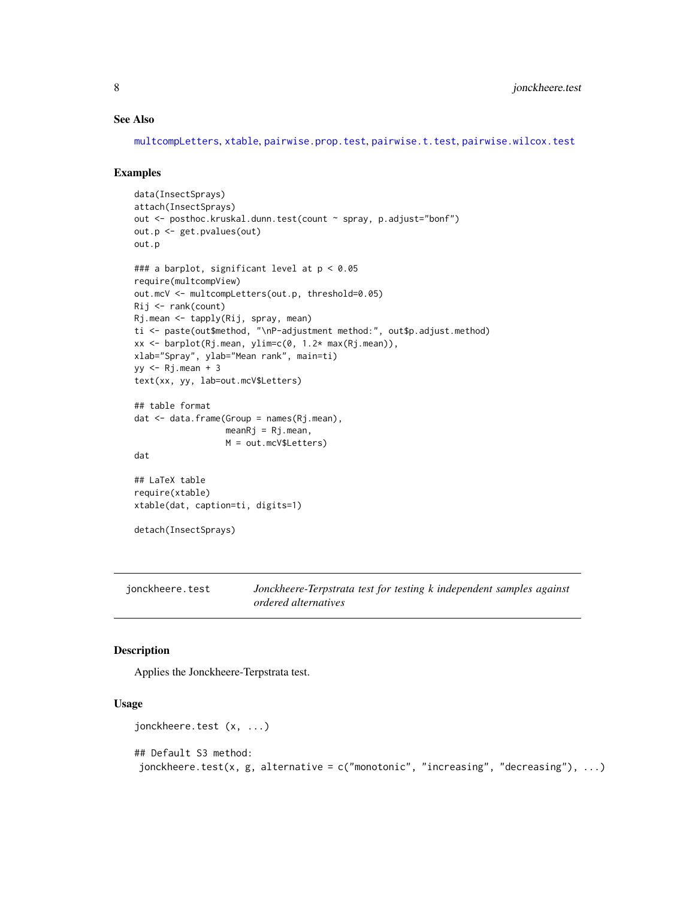#### <span id="page-7-0"></span>See Also

[multcompLetters](#page-0-0), [xtable](#page-0-0), [pairwise.prop.test](#page-0-0), [pairwise.t.test](#page-0-0), [pairwise.wilcox.test](#page-0-0)

#### Examples

```
data(InsectSprays)
attach(InsectSprays)
out <- posthoc.kruskal.dunn.test(count ~ spray, p.adjust="bonf")
out.p <- get.pvalues(out)
out.p
### a barplot, significant level at p < 0.05
require(multcompView)
out.mcV <- multcompLetters(out.p, threshold=0.05)
Rij <- rank(count)
Rj.mean <- tapply(Rij, spray, mean)
ti <- paste(out$method, "\nP-adjustment method:", out$p.adjust.method)
xx <- barplot(Rj.mean, ylim=c(0, 1.2* max(Rj.mean)),
xlab="Spray", ylab="Mean rank", main=ti)
yy <- Rj.mean + 3
text(xx, yy, lab=out.mcV$Letters)
## table format
dat <- data.frame(Group = names(Rj.mean),
                  meanRj = Rj.mean,M = out.mcV$Letters)
dat
## LaTeX table
require(xtable)
xtable(dat, caption=ti, digits=1)
detach(InsectSprays)
```
<span id="page-7-1"></span>jonckheere.test *Jonckheere-Terpstrata test for testing k independent samples against ordered alternatives*

#### Description

Applies the Jonckheere-Terpstrata test.

#### Usage

```
jonckheere.test (x, ...)
## Default S3 method:
jonckheere.test(x, g, alternative = c("monotonic", "increasing", "decreasing"), ...)
```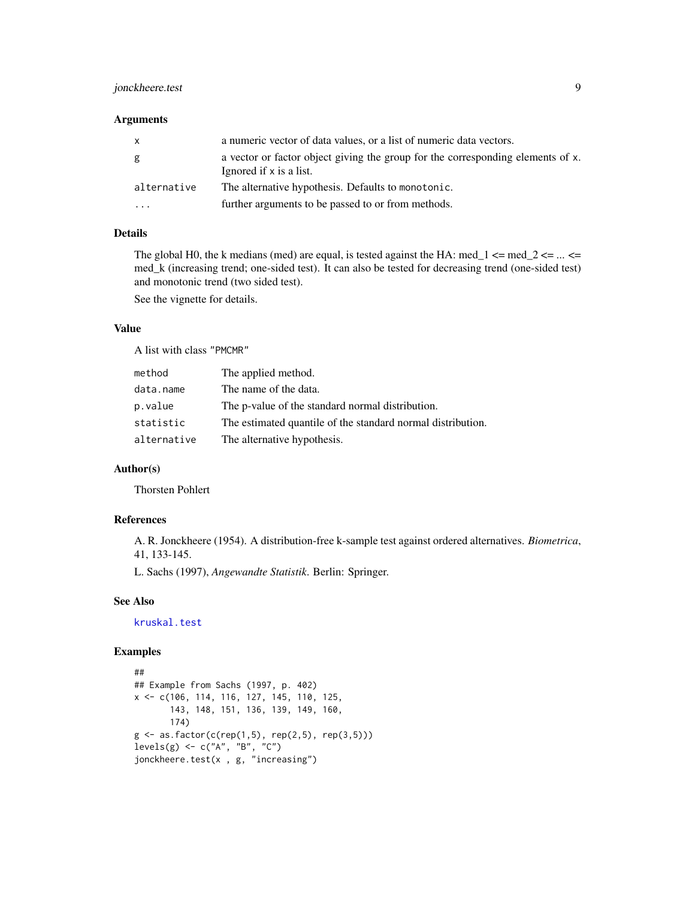## <span id="page-8-0"></span>jonckheere.test 9

#### Arguments

| $\mathsf{x}$ | a numeric vector of data values, or a list of numeric data vectors.                                        |
|--------------|------------------------------------------------------------------------------------------------------------|
| g            | a vector or factor object giving the group for the corresponding elements of x.<br>Ignored if x is a list. |
| alternative  | The alternative hypothesis. Defaults to monotonic.                                                         |
| .            | further arguments to be passed to or from methods.                                                         |

#### Details

The global H0, the k medians (med) are equal, is tested against the HA: med\_1  $\le$  med\_2  $\le$  ...  $\le$ med\_k (increasing trend; one-sided test). It can also be tested for decreasing trend (one-sided test) and monotonic trend (two sided test).

See the vignette for details.

#### Value

A list with class "PMCMR"

| method      | The applied method.                                         |
|-------------|-------------------------------------------------------------|
| data.name   | The name of the data.                                       |
| p.value     | The p-value of the standard normal distribution.            |
| statistic   | The estimated quantile of the standard normal distribution. |
| alternative | The alternative hypothesis.                                 |

## Author(s)

Thorsten Pohlert

## References

A. R. Jonckheere (1954). A distribution-free k-sample test against ordered alternatives. *Biometrica*, 41, 133-145.

L. Sachs (1997), *Angewandte Statistik*. Berlin: Springer.

#### See Also

[kruskal.test](#page-0-0)

```
##
## Example from Sachs (1997, p. 402)
x <- c(106, 114, 116, 127, 145, 110, 125,
       143, 148, 151, 136, 139, 149, 160,
       174)
g \leq -as.factor(c(rep(1,5), rep(2,5), rep(3,5)))levels(g) <- c("A", "B", "C")
jonckheere.test(x , g, "increasing")
```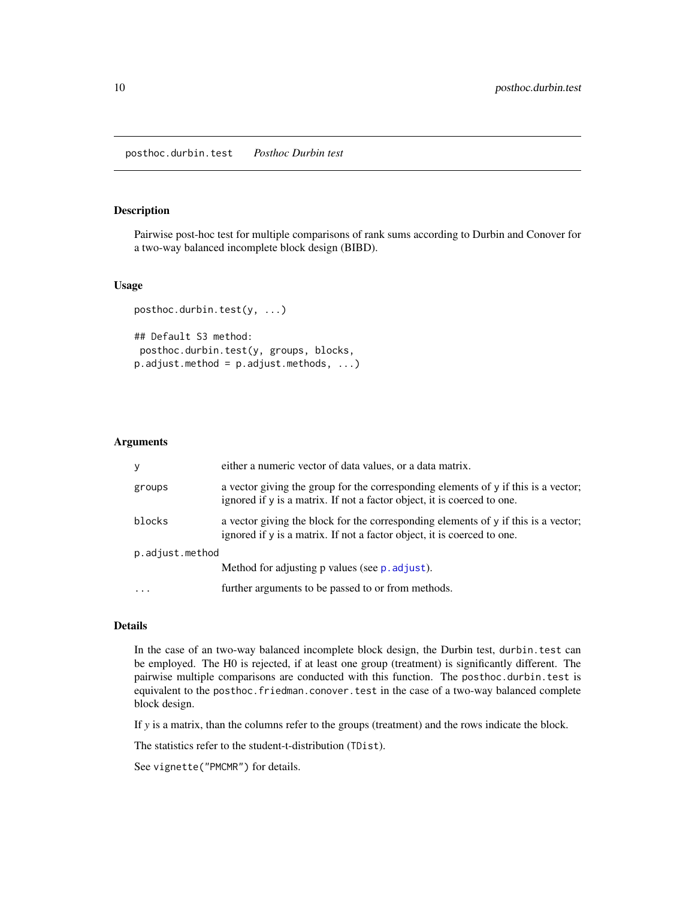#### <span id="page-9-1"></span><span id="page-9-0"></span>Description

Pairwise post-hoc test for multiple comparisons of rank sums according to Durbin and Conover for a two-way balanced incomplete block design (BIBD).

#### Usage

```
posthoc.durbin.test(y, ...)
## Default S3 method:
```
posthoc.durbin.test(y, groups, blocks,  $p.addjust.method = p.addjust.methods, ...)$ 

#### **Arguments**

| y               | either a numeric vector of data values, or a data matrix.                                                                                                     |  |  |  |
|-----------------|---------------------------------------------------------------------------------------------------------------------------------------------------------------|--|--|--|
| groups          | a vector giving the group for the corresponding elements of y if this is a vector;<br>ignored if y is a matrix. If not a factor object, it is coerced to one. |  |  |  |
| blocks          | a vector giving the block for the corresponding elements of y if this is a vector;<br>ignored if y is a matrix. If not a factor object, it is coerced to one. |  |  |  |
| p.adjust.method |                                                                                                                                                               |  |  |  |
|                 | Method for adjusting p values (see p. adjust).                                                                                                                |  |  |  |
| $\cdots$        | further arguments to be passed to or from methods.                                                                                                            |  |  |  |

#### Details

In the case of an two-way balanced incomplete block design, the Durbin test, durbin.test can be employed. The H0 is rejected, if at least one group (treatment) is significantly different. The pairwise multiple comparisons are conducted with this function. The posthoc.durbin.test is equivalent to the posthoc.friedman.conover.test in the case of a two-way balanced complete block design.

If *y* is a matrix, than the columns refer to the groups (treatment) and the rows indicate the block.

The statistics refer to the student-t-distribution (TDist).

See vignette("PMCMR") for details.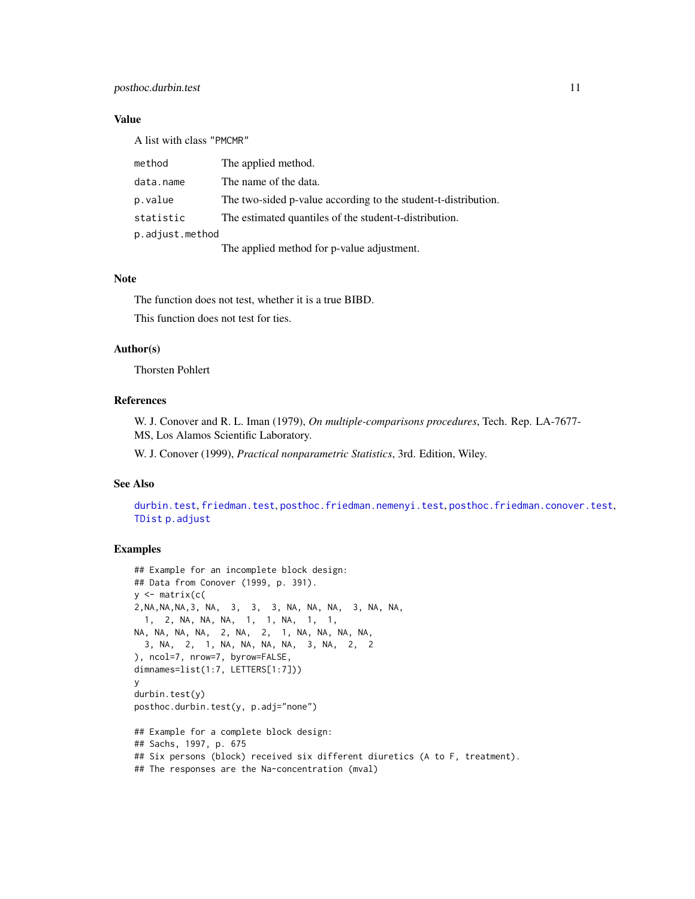## <span id="page-10-0"></span>posthoc.durbin.test 11

## Value

A list with class "PMCMR"

| method          | The applied method.                                            |
|-----------------|----------------------------------------------------------------|
| data.name       | The name of the data.                                          |
| p.value         | The two-sided p-value according to the student-t-distribution. |
| statistic       | The estimated quantiles of the student-t-distribution.         |
| p.adjust.method |                                                                |
|                 | The applied method for p-value adjustment.                     |

#### Note

The function does not test, whether it is a true BIBD. This function does not test for ties.

## Author(s)

Thorsten Pohlert

## References

W. J. Conover and R. L. Iman (1979), *On multiple-comparisons procedures*, Tech. Rep. LA-7677- MS, Los Alamos Scientific Laboratory.

W. J. Conover (1999), *Practical nonparametric Statistics*, 3rd. Edition, Wiley.

## See Also

[durbin.test](#page-4-1), [friedman.test](#page-0-0), [posthoc.friedman.nemenyi.test](#page-13-1), [posthoc.friedman.conover.test](#page-11-1), [TDist](#page-0-0) [p.adjust](#page-0-0)

```
## Example for an incomplete block design:
## Data from Conover (1999, p. 391).
y <- matrix(c(
2,NA,NA,NA,3, NA, 3, 3, 3, NA, NA, NA, 3, NA, NA,
 1, 2, NA, NA, NA, 1, 1, NA, 1, 1,
NA, NA, NA, NA, 2, NA, 2, 1, NA, NA, NA, NA,
 3, NA, 2, 1, NA, NA, NA, NA, 3, NA, 2, 2
), ncol=7, nrow=7, byrow=FALSE,
dimnames=list(1:7, LETTERS[1:7]))
y
durbin.test(y)
posthoc.durbin.test(y, p.adj="none")
## Example for a complete block design:
## Sachs, 1997, p. 675
## Six persons (block) received six different diuretics (A to F, treatment).
## The responses are the Na-concentration (mval)
```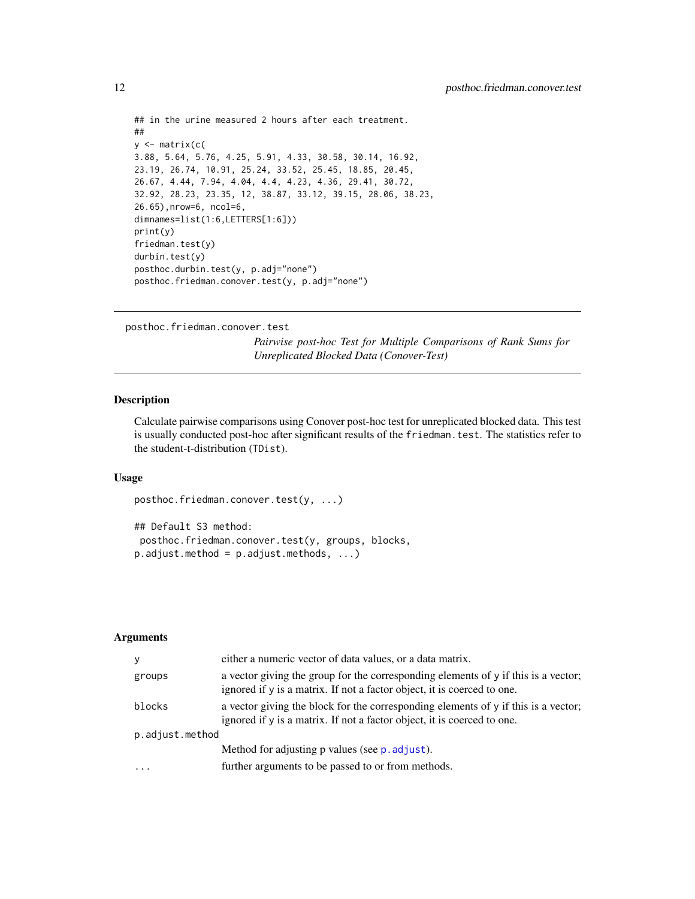```
## in the urine measured 2 hours after each treatment.
##
y \leftarrow matrix(c(
3.88, 5.64, 5.76, 4.25, 5.91, 4.33, 30.58, 30.14, 16.92,
23.19, 26.74, 10.91, 25.24, 33.52, 25.45, 18.85, 20.45,
26.67, 4.44, 7.94, 4.04, 4.4, 4.23, 4.36, 29.41, 30.72,
32.92, 28.23, 23.35, 12, 38.87, 33.12, 39.15, 28.06, 38.23,
26.65),nrow=6, ncol=6,
dimnames=list(1:6,LETTERS[1:6]))
print(y)
friedman.test(y)
durbin.test(y)
posthoc.durbin.test(y, p.adj="none")
posthoc.friedman.conover.test(y, p.adj="none")
```

```
posthoc.friedman.conover.test
```
*Pairwise post-hoc Test for Multiple Comparisons of Rank Sums for Unreplicated Blocked Data (Conover-Test)*

## Description

Calculate pairwise comparisons using Conover post-hoc test for unreplicated blocked data. This test is usually conducted post-hoc after significant results of the friedman.test. The statistics refer to the student-t-distribution (TDist).

#### Usage

```
posthoc.friedman.conover.test(y, ...)
```

```
## Default S3 method:
posthoc.friedman.conover.test(y, groups, blocks,
p.addjust.method = p.addjust.methods, ...)
```

| y               | either a numeric vector of data values, or a data matrix.                                                                                                            |  |
|-----------------|----------------------------------------------------------------------------------------------------------------------------------------------------------------------|--|
| groups          | a vector giving the group for the corresponding elements of y if this is a vector;<br>ignored if y is a matrix. If not a factor object, it is coerced to one.        |  |
| blocks          | a vector giving the block for the corresponding elements of $\gamma$ if this is a vector;<br>ignored if y is a matrix. If not a factor object, it is coerced to one. |  |
| p.adjust.method |                                                                                                                                                                      |  |
|                 | Method for adjusting p values (see p. adjust).                                                                                                                       |  |
| $\ddotsc$       | further arguments to be passed to or from methods.                                                                                                                   |  |

<span id="page-11-0"></span>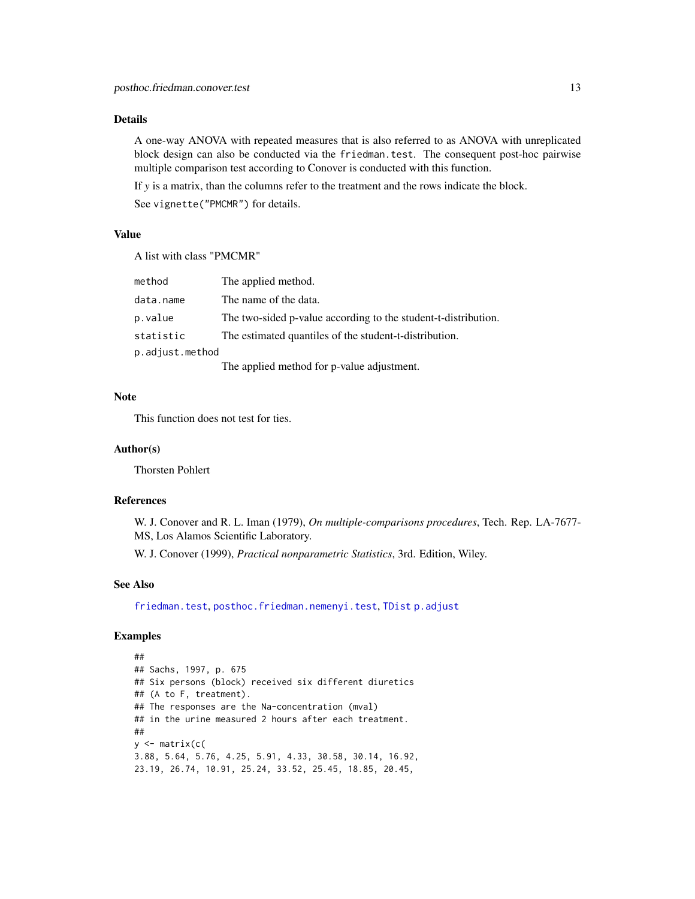<span id="page-12-0"></span>A one-way ANOVA with repeated measures that is also referred to as ANOVA with unreplicated block design can also be conducted via the friedman.test. The consequent post-hoc pairwise multiple comparison test according to Conover is conducted with this function.

If *y* is a matrix, than the columns refer to the treatment and the rows indicate the block.

See vignette("PMCMR") for details.

#### Value

A list with class "PMCMR"

| method          | The applied method.                                                                                                                                                                                                                                                                                                                     |
|-----------------|-----------------------------------------------------------------------------------------------------------------------------------------------------------------------------------------------------------------------------------------------------------------------------------------------------------------------------------------|
| data.name       | The name of the data.                                                                                                                                                                                                                                                                                                                   |
| p.value         | The two-sided p-value according to the student-t-distribution.                                                                                                                                                                                                                                                                          |
| statistic       | The estimated quantiles of the student-t-distribution.                                                                                                                                                                                                                                                                                  |
| p.adjust.method |                                                                                                                                                                                                                                                                                                                                         |
|                 | $\mathbf{T}^{\bullet}1$ , and $\mathbf{1}^{\bullet}$ , $\mathbf{1}^{\bullet}$ , $\mathbf{1}^{\bullet}$ , $\mathbf{1}^{\bullet}$ , $\mathbf{0}^{\bullet}$ , $\mathbf{0}^{\bullet}$ , $\mathbf{1}^{\bullet}$ , $\mathbf{1}^{\bullet}$ , $\mathbf{1}^{\bullet}$ , $\mathbf{1}^{\bullet}$ , $\mathbf{1}^{\bullet}$ , $\mathbf{1}^{\bullet}$ |

The applied method for p-value adjustment.

#### Note

This function does not test for ties.

#### Author(s)

Thorsten Pohlert

## References

W. J. Conover and R. L. Iman (1979), *On multiple-comparisons procedures*, Tech. Rep. LA-7677- MS, Los Alamos Scientific Laboratory.

W. J. Conover (1999), *Practical nonparametric Statistics*, 3rd. Edition, Wiley.

#### See Also

[friedman.test](#page-0-0), [posthoc.friedman.nemenyi.test](#page-13-1), [TDist](#page-0-0) [p.adjust](#page-0-0)

```
##
## Sachs, 1997, p. 675
## Six persons (block) received six different diuretics
## (A to F, treatment).
## The responses are the Na-concentration (mval)
## in the urine measured 2 hours after each treatment.
##
y <- matrix(c(
3.88, 5.64, 5.76, 4.25, 5.91, 4.33, 30.58, 30.14, 16.92,
23.19, 26.74, 10.91, 25.24, 33.52, 25.45, 18.85, 20.45,
```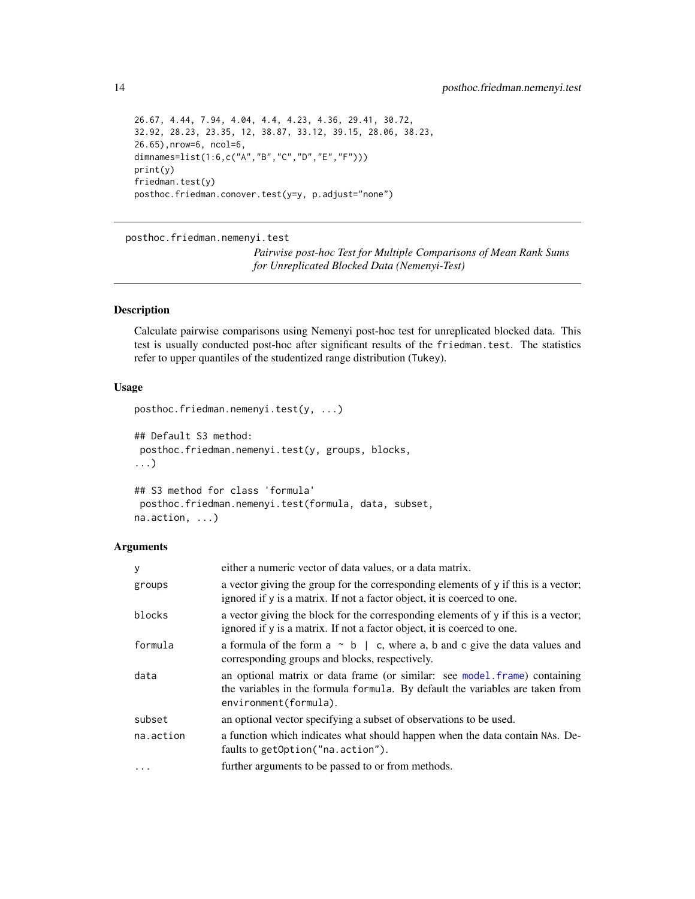```
26.67, 4.44, 7.94, 4.04, 4.4, 4.23, 4.36, 29.41, 30.72,
32.92, 28.23, 23.35, 12, 38.87, 33.12, 39.15, 28.06, 38.23,
26.65),nrow=6, ncol=6,
dimnames=list(1:6,c("A","B","C","D","E","F")))
print(y)
friedman.test(y)
posthoc.friedman.conover.test(y=y, p.adjust="none")
```
<span id="page-13-1"></span>posthoc.friedman.nemenyi.test

*Pairwise post-hoc Test for Multiple Comparisons of Mean Rank Sums for Unreplicated Blocked Data (Nemenyi-Test)*

#### Description

Calculate pairwise comparisons using Nemenyi post-hoc test for unreplicated blocked data. This test is usually conducted post-hoc after significant results of the friedman.test. The statistics refer to upper quantiles of the studentized range distribution (Tukey).

#### Usage

```
posthoc.friedman.nemenyi.test(y, ...)
## Default S3 method:
posthoc.friedman.nemenyi.test(y, groups, blocks,
...)
## S3 method for class 'formula'
```

```
posthoc.friedman.nemenyi.test(formula, data, subset,
na.action, ...)
```

| у         | either a numeric vector of data values, or a data matrix.                                                                                                                           |
|-----------|-------------------------------------------------------------------------------------------------------------------------------------------------------------------------------------|
| groups    | a vector giving the group for the corresponding elements of y if this is a vector;<br>ignored if y is a matrix. If not a factor object, it is coerced to one.                       |
| blocks    | a vector giving the block for the corresponding elements of y if this is a vector;<br>ignored if y is a matrix. If not a factor object, it is coerced to one.                       |
| formula   | a formula of the form $a \sim b \mid c$ , where a, b and c give the data values and<br>corresponding groups and blocks, respectively.                                               |
| data      | an optional matrix or data frame (or similar: see model frame) containing<br>the variables in the formula formula. By default the variables are taken from<br>environment(formula). |
| subset    | an optional vector specifying a subset of observations to be used.                                                                                                                  |
| na.action | a function which indicates what should happen when the data contain NAs. De-<br>faults to getOption("na.action").                                                                   |
| $\ddots$  | further arguments to be passed to or from methods.                                                                                                                                  |

<span id="page-13-0"></span>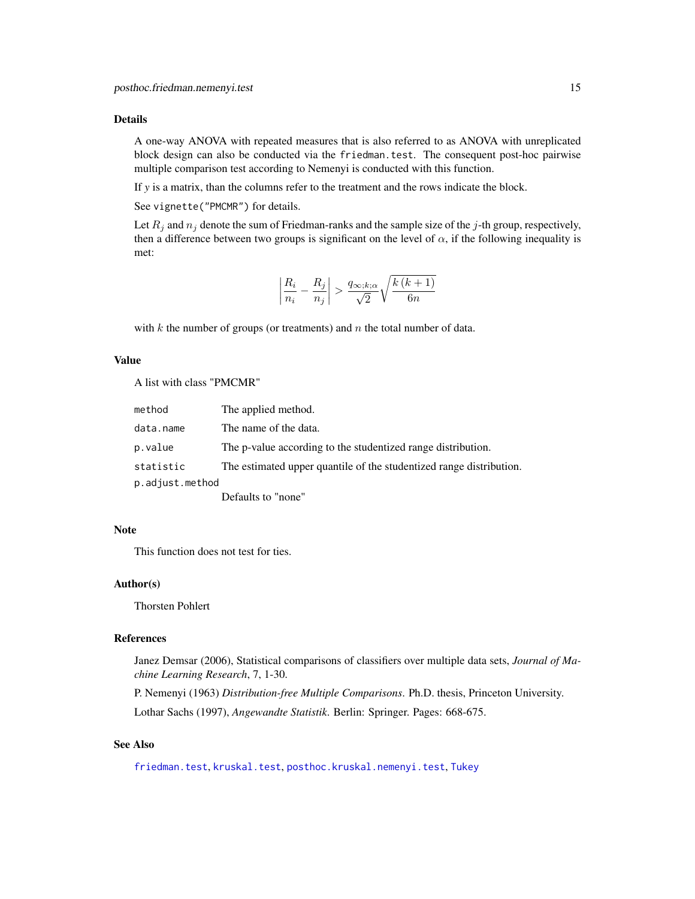<span id="page-14-0"></span>A one-way ANOVA with repeated measures that is also referred to as ANOVA with unreplicated block design can also be conducted via the friedman.test. The consequent post-hoc pairwise multiple comparison test according to Nemenyi is conducted with this function.

If *y* is a matrix, than the columns refer to the treatment and the rows indicate the block.

See vignette("PMCMR") for details.

Let  $R_j$  and  $n_j$  denote the sum of Friedman-ranks and the sample size of the j-th group, respectively, then a difference between two groups is significant on the level of  $\alpha$ , if the following inequality is met:

$$
\left| \frac{R_i}{n_i} - \frac{R_j}{n_j} \right| > \frac{q_{\infty;k;\alpha}}{\sqrt{2}} \sqrt{\frac{k\left(k+1\right)}{6n}}
$$

with  $k$  the number of groups (or treatments) and  $n$  the total number of data.

#### Value

A list with class "PMCMR"

| method          | The applied method.                                                 |
|-----------------|---------------------------------------------------------------------|
| data.name       | The name of the data.                                               |
| p.value         | The p-value according to the studentized range distribution.        |
| statistic       | The estimated upper quantile of the studentized range distribution. |
| p.adjust.method |                                                                     |
|                 | Defaults to "none"                                                  |

#### Note

This function does not test for ties.

#### Author(s)

Thorsten Pohlert

#### References

Janez Demsar (2006), Statistical comparisons of classifiers over multiple data sets, *Journal of Machine Learning Research*, 7, 1-30.

P. Nemenyi (1963) *Distribution-free Multiple Comparisons*. Ph.D. thesis, Princeton University. Lothar Sachs (1997), *Angewandte Statistik*. Berlin: Springer. Pages: 668-675.

## See Also

[friedman.test](#page-0-0), [kruskal.test](#page-0-0), [posthoc.kruskal.nemenyi.test](#page-19-1), [Tukey](#page-0-0)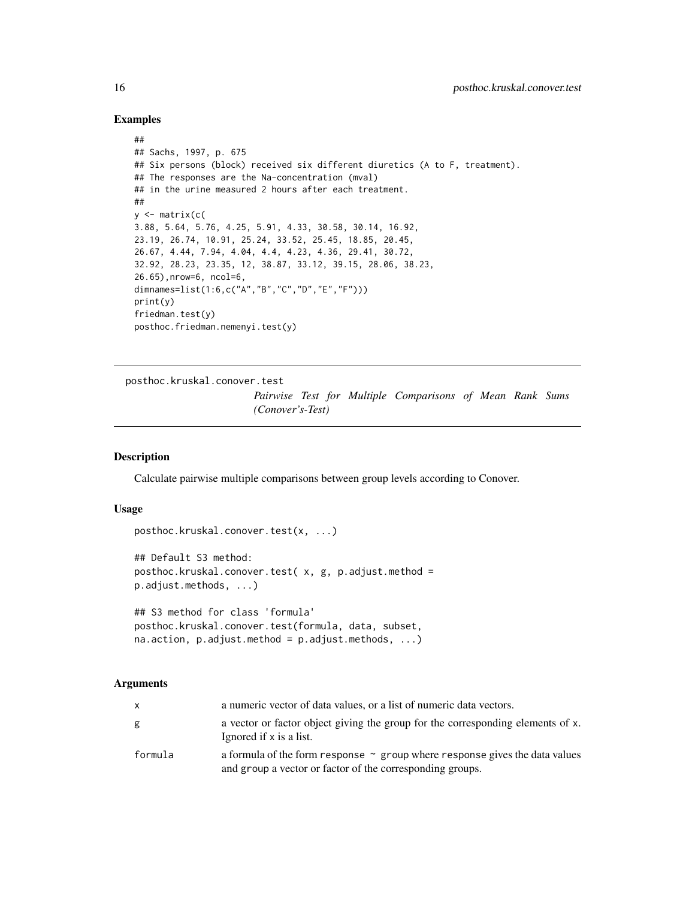#### Examples

```
##
```

```
## Sachs, 1997, p. 675
## Six persons (block) received six different diuretics (A to F, treatment).
## The responses are the Na-concentration (mval)
## in the urine measured 2 hours after each treatment.
##
y \le - matrix(c(
3.88, 5.64, 5.76, 4.25, 5.91, 4.33, 30.58, 30.14, 16.92,
23.19, 26.74, 10.91, 25.24, 33.52, 25.45, 18.85, 20.45,
26.67, 4.44, 7.94, 4.04, 4.4, 4.23, 4.36, 29.41, 30.72,
32.92, 28.23, 23.35, 12, 38.87, 33.12, 39.15, 28.06, 38.23,
26.65),nrow=6, ncol=6,
dimnames=list(1:6,c("A","B","C","D","E","F")))
print(y)
friedman.test(y)
posthoc.friedman.nemenyi.test(y)
```
<span id="page-15-1"></span>posthoc.kruskal.conover.test

*Pairwise Test for Multiple Comparisons of Mean Rank Sums (Conover's-Test)*

## Description

Calculate pairwise multiple comparisons between group levels according to Conover.

## Usage

```
posthoc.kruskal.conover.test(x, ...)
## Default S3 method:
```

```
posthoc.kruskal.conover.test( x, g, p.adjust.method =
p.adjust.methods, ...)
```

```
## S3 method for class 'formula'
posthoc.kruskal.conover.test(formula, data, subset,
na. action, p. adjust. method = p. adjust. method
```

| X       | a numeric vector of data values, or a list of numeric data vectors.                                                                           |
|---------|-----------------------------------------------------------------------------------------------------------------------------------------------|
| g       | a vector or factor object giving the group for the corresponding elements of x.<br>Ignored if x is a list.                                    |
| formula | a formula of the form response $\sim$ group where response gives the data values<br>and group a vector or factor of the corresponding groups. |

<span id="page-15-0"></span>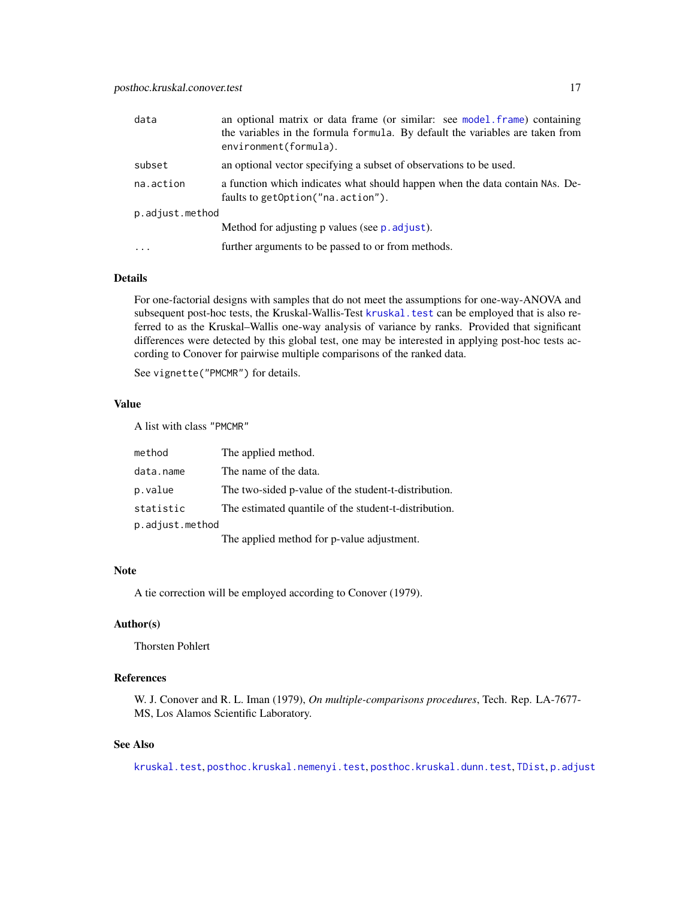<span id="page-16-0"></span>

| data            | an optional matrix or data frame (or similar: see model frame) containing<br>the variables in the formula formula. By default the variables are taken from<br>environment(formula). |
|-----------------|-------------------------------------------------------------------------------------------------------------------------------------------------------------------------------------|
| subset          | an optional vector specifying a subset of observations to be used.                                                                                                                  |
| na.action       | a function which indicates what should happen when the data contain NAs. De-<br>faults to getOption("na.action").                                                                   |
| p.adjust.method |                                                                                                                                                                                     |
|                 | Method for adjusting p values (see p. adjust).                                                                                                                                      |
| $\ddots$        | further arguments to be passed to or from methods.                                                                                                                                  |

For one-factorial designs with samples that do not meet the assumptions for one-way-ANOVA and subsequent post-hoc tests, the Kruskal-Wallis-Test [kruskal.test](#page-0-0) can be employed that is also referred to as the Kruskal–Wallis one-way analysis of variance by ranks. Provided that significant differences were detected by this global test, one may be interested in applying post-hoc tests according to Conover for pairwise multiple comparisons of the ranked data.

See vignette("PMCMR") for details.

#### Value

A list with class "PMCMR"

| method          | The applied method.                                   |
|-----------------|-------------------------------------------------------|
| data.name       | The name of the data.                                 |
| p.value         | The two-sided p-value of the student-t-distribution.  |
| statistic       | The estimated quantile of the student-t-distribution. |
| p.adjust.method |                                                       |
|                 | The applied method for p-value adjustment.            |

## Note

A tie correction will be employed according to Conover (1979).

## Author(s)

Thorsten Pohlert

## References

W. J. Conover and R. L. Iman (1979), *On multiple-comparisons procedures*, Tech. Rep. LA-7677- MS, Los Alamos Scientific Laboratory.

## See Also

[kruskal.test](#page-0-0), [posthoc.kruskal.nemenyi.test](#page-19-1), [posthoc.kruskal.dunn.test](#page-17-1), [TDist](#page-0-0), [p.adjust](#page-0-0)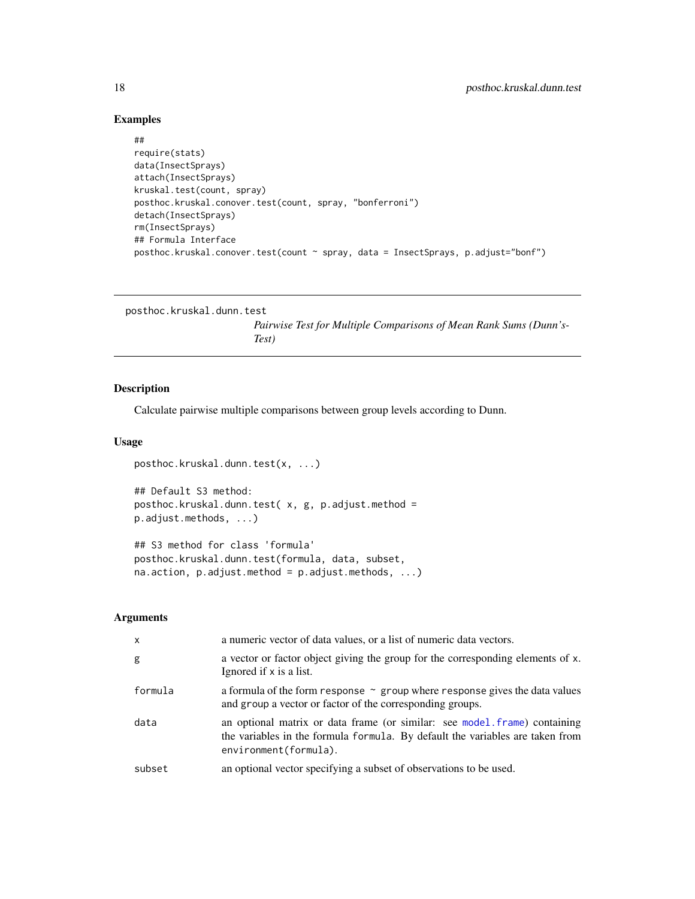## Examples

```
##
require(stats)
data(InsectSprays)
attach(InsectSprays)
kruskal.test(count, spray)
posthoc.kruskal.conover.test(count, spray, "bonferroni")
detach(InsectSprays)
rm(InsectSprays)
## Formula Interface
posthoc.kruskal.conover.test(count ~ spray, data = InsectSprays, p.adjust="bonf")
```

```
posthoc.kruskal.dunn.test
```
*Pairwise Test for Multiple Comparisons of Mean Rank Sums (Dunn's-Test)*

## Description

Calculate pairwise multiple comparisons between group levels according to Dunn.

## Usage

```
posthoc.kruskal.dunn.test(x, ...)
```

```
## Default S3 method:
posthoc.kruskal.dunn.test(x, g, p.adjust.method =
p.adjust.methods, ...)
```

```
## S3 method for class 'formula'
posthoc.kruskal.dunn.test(formula, data, subset,
na.action, p.addjust.method = p.addjust.methods, ...)
```

| $\mathsf{x}$ | a numeric vector of data values, or a list of numeric data vectors.                                                                                                                 |
|--------------|-------------------------------------------------------------------------------------------------------------------------------------------------------------------------------------|
| g            | a vector or factor object giving the group for the corresponding elements of x.<br>Ignored if x is a list.                                                                          |
| formula      | a formula of the form response $\sim$ group where response gives the data values<br>and group a vector or factor of the corresponding groups.                                       |
| data         | an optional matrix or data frame (or similar: see model frame) containing<br>the variables in the formula formula. By default the variables are taken from<br>environment(formula). |
| subset       | an optional vector specifying a subset of observations to be used.                                                                                                                  |

<span id="page-17-0"></span>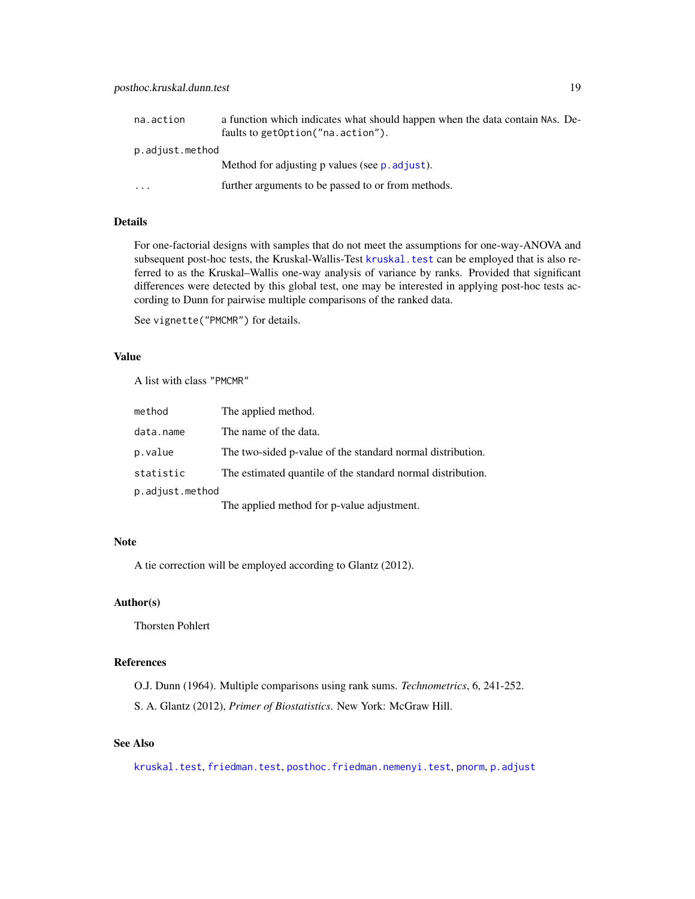<span id="page-18-0"></span>

| na.action            | a function which indicates what should happen when the data contain NAs. De- |
|----------------------|------------------------------------------------------------------------------|
|                      | faults to getOption("na.action").                                            |
| p.adjust.method      |                                                                              |
|                      | Method for adjusting p values (see p. adjust).                               |
| $\ddot{\phantom{0}}$ | further arguments to be passed to or from methods.                           |

For one-factorial designs with samples that do not meet the assumptions for one-way-ANOVA and subsequent post-hoc tests, the Kruskal-Wallis-Test [kruskal.test](#page-0-0) can be employed that is also referred to as the Kruskal–Wallis one-way analysis of variance by ranks. Provided that significant differences were detected by this global test, one may be interested in applying post-hoc tests according to Dunn for pairwise multiple comparisons of the ranked data.

```
See vignette("PMCMR") for details.
```
## Value

A list with class "PMCMR"

| method          | The applied method.                                         |
|-----------------|-------------------------------------------------------------|
| data.name       | The name of the data.                                       |
| p.value         | The two-sided p-value of the standard normal distribution.  |
| statistic       | The estimated quantile of the standard normal distribution. |
| p.adjust.method |                                                             |
|                 | The applied method for p-value adjustment.                  |

#### Note

A tie correction will be employed according to Glantz (2012).

#### Author(s)

Thorsten Pohlert

#### References

O.J. Dunn (1964). Multiple comparisons using rank sums. *Technometrics*, 6, 241-252.

S. A. Glantz (2012), *Primer of Biostatistics*. New York: McGraw Hill.

## See Also

[kruskal.test](#page-0-0), [friedman.test](#page-0-0), [posthoc.friedman.nemenyi.test](#page-13-1), [pnorm](#page-0-0), [p.adjust](#page-0-0)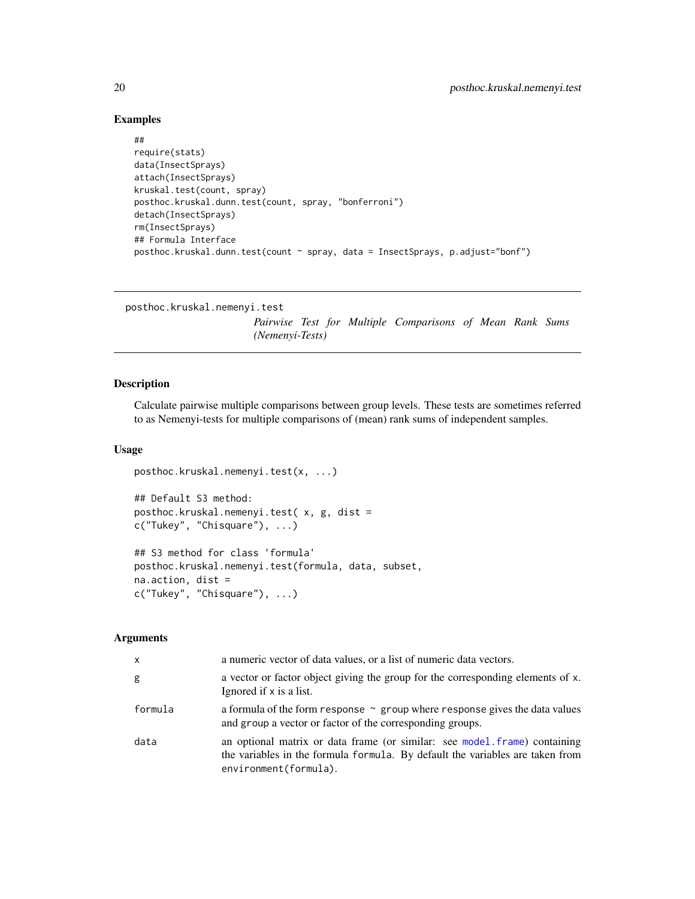## Examples

```
##
```

```
require(stats)
data(InsectSprays)
attach(InsectSprays)
kruskal.test(count, spray)
posthoc.kruskal.dunn.test(count, spray, "bonferroni")
detach(InsectSprays)
rm(InsectSprays)
## Formula Interface
posthoc.kruskal.dunn.test(count ~ spray, data = InsectSprays, p.adjust="bonf")
```

```
posthoc.kruskal.nemenyi.test
```
*Pairwise Test for Multiple Comparisons of Mean Rank Sums (Nemenyi-Tests)*

#### Description

Calculate pairwise multiple comparisons between group levels. These tests are sometimes referred to as Nemenyi-tests for multiple comparisons of (mean) rank sums of independent samples.

#### Usage

```
posthoc.kruskal.nemenyi.test(x, ...)
```

```
## Default S3 method:
posthoc.kruskal.nemenyi.test( x, g, dist =
c("Tukey", "Chisquare"), ...)
## S3 method for class 'formula'
posthoc.kruskal.nemenyi.test(formula, data, subset,
na.action, dist =
c("Tukey", "Chisquare"), ...)
```

| x       | a numeric vector of data values, or a list of numeric data vectors.                                                                                                                 |
|---------|-------------------------------------------------------------------------------------------------------------------------------------------------------------------------------------|
| g       | a vector or factor object giving the group for the corresponding elements of x.<br>Ignored if x is a list.                                                                          |
| formula | a formula of the form response $\sim$ group where response gives the data values<br>and group a vector or factor of the corresponding groups.                                       |
| data    | an optional matrix or data frame (or similar: see model frame) containing<br>the variables in the formula formula. By default the variables are taken from<br>environment(formula). |

<span id="page-19-0"></span>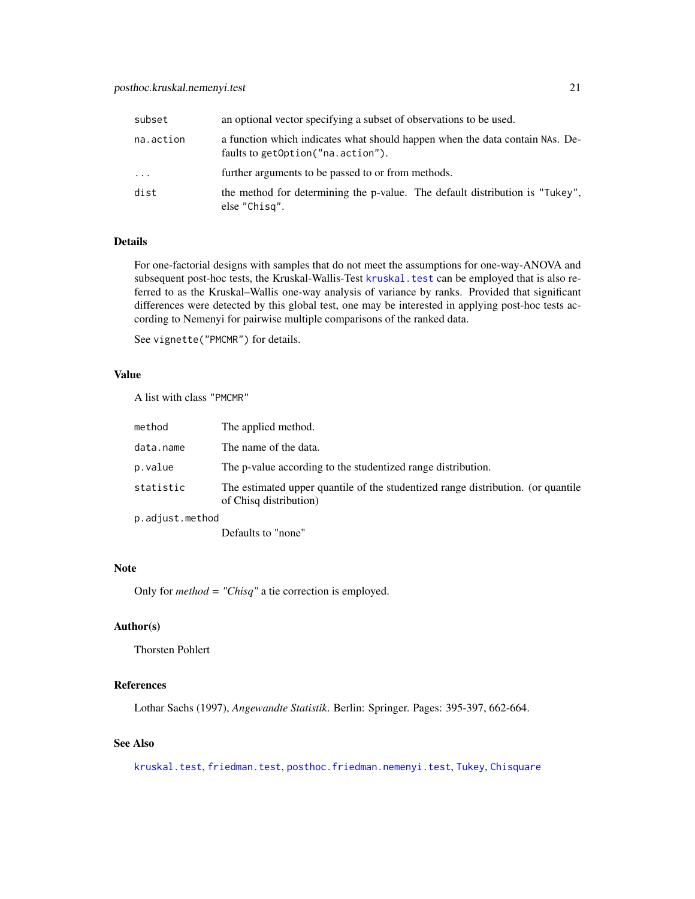<span id="page-20-0"></span>

| subset    | an optional vector specifying a subset of observations to be used.                                                |
|-----------|-------------------------------------------------------------------------------------------------------------------|
| na.action | a function which indicates what should happen when the data contain NAs. De-<br>faults to getOption("na.action"). |
| $\cdots$  | further arguments to be passed to or from methods.                                                                |
| dist      | the method for determining the p-value. The default distribution is "Tukey",<br>else "Chisq".                     |

For one-factorial designs with samples that do not meet the assumptions for one-way-ANOVA and subsequent post-hoc tests, the Kruskal-Wallis-Test [kruskal.test](#page-0-0) can be employed that is also referred to as the Kruskal–Wallis one-way analysis of variance by ranks. Provided that significant differences were detected by this global test, one may be interested in applying post-hoc tests according to Nemenyi for pairwise multiple comparisons of the ranked data.

See vignette("PMCMR") for details.

## Value

A list with class "PMCMR"

| method          | The applied method.                                                                                        |
|-----------------|------------------------------------------------------------------------------------------------------------|
| data.name       | The name of the data.                                                                                      |
| p.value         | The p-value according to the studentized range distribution.                                               |
| statistic       | The estimated upper quantile of the studentized range distribution. (or quantile<br>of Chisq distribution) |
| p.adjust.method |                                                                                                            |
|                 |                                                                                                            |

Defaults to "none"

## Note

Only for *method = "Chisq"* a tie correction is employed.

## Author(s)

Thorsten Pohlert

## References

Lothar Sachs (1997), *Angewandte Statistik*. Berlin: Springer. Pages: 395-397, 662-664.

## See Also

[kruskal.test](#page-0-0), [friedman.test](#page-0-0), [posthoc.friedman.nemenyi.test](#page-13-1), [Tukey](#page-0-0), [Chisquare](#page-0-0)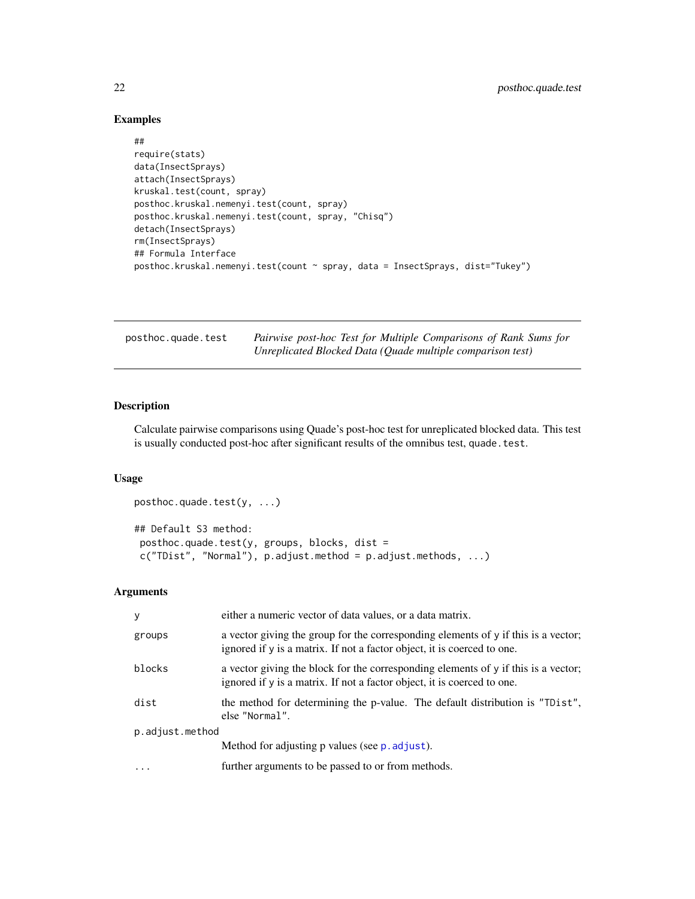## Examples

## ##

```
require(stats)
data(InsectSprays)
attach(InsectSprays)
kruskal.test(count, spray)
posthoc.kruskal.nemenyi.test(count, spray)
posthoc.kruskal.nemenyi.test(count, spray, "Chisq")
detach(InsectSprays)
rm(InsectSprays)
## Formula Interface
posthoc.kruskal.nemenyi.test(count ~ spray, data = InsectSprays, dist="Tukey")
```
<span id="page-21-1"></span>

| posthoc.quade.test | Pairwise post-hoc Test for Multiple Comparisons of Rank Sums for |
|--------------------|------------------------------------------------------------------|
|                    | Unreplicated Blocked Data (Quade multiple comparison test)       |

## Description

Calculate pairwise comparisons using Quade's post-hoc test for unreplicated blocked data. This test is usually conducted post-hoc after significant results of the omnibus test, quade.test.

#### Usage

```
posthoc.quade.test(y, ...)
## Default S3 method:
posthoc.quade.test(y, groups, blocks, dist =
c("TDist", "Normal"), p.adjust.method = p.adjust.methods, ...)
```

| У               | either a numeric vector of data values, or a data matrix.                                                                                                     |  |
|-----------------|---------------------------------------------------------------------------------------------------------------------------------------------------------------|--|
| groups          | a vector giving the group for the corresponding elements of y if this is a vector;<br>ignored if y is a matrix. If not a factor object, it is coerced to one. |  |
| blocks          | a vector giving the block for the corresponding elements of y if this is a vector;<br>ignored if y is a matrix. If not a factor object, it is coerced to one. |  |
| dist            | the method for determining the p-value. The default distribution is "TDist",<br>else "Normal".                                                                |  |
| p.adjust.method |                                                                                                                                                               |  |
|                 | Method for adjusting p values (see p. adjust).                                                                                                                |  |
|                 | further arguments to be passed to or from methods.                                                                                                            |  |

<span id="page-21-0"></span>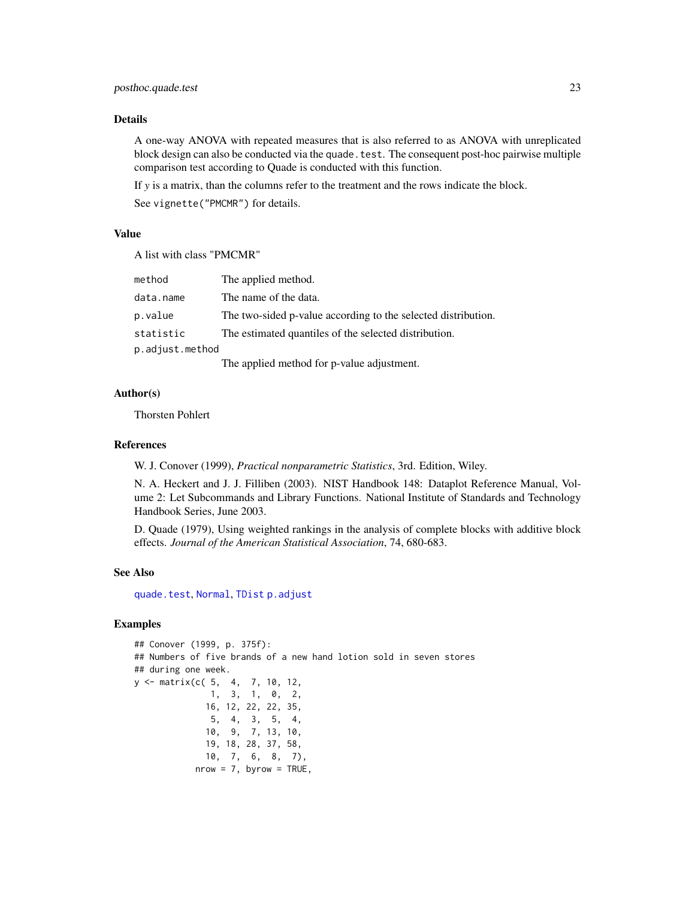<span id="page-22-0"></span>A one-way ANOVA with repeated measures that is also referred to as ANOVA with unreplicated block design can also be conducted via the quade. test. The consequent post-hoc pairwise multiple comparison test according to Quade is conducted with this function.

If *y* is a matrix, than the columns refer to the treatment and the rows indicate the block.

See vignette("PMCMR") for details.

#### Value

A list with class "PMCMR"

| method          | The applied method.                                           |
|-----------------|---------------------------------------------------------------|
| data.name       | The name of the data.                                         |
| p.value         | The two-sided p-value according to the selected distribution. |
| statistic       | The estimated quantiles of the selected distribution.         |
| p.adjust.method |                                                               |
|                 |                                                               |

The applied method for p-value adjustment.

## Author(s)

Thorsten Pohlert

#### References

W. J. Conover (1999), *Practical nonparametric Statistics*, 3rd. Edition, Wiley.

N. A. Heckert and J. J. Filliben (2003). NIST Handbook 148: Dataplot Reference Manual, Volume 2: Let Subcommands and Library Functions. National Institute of Standards and Technology Handbook Series, June 2003.

D. Quade (1979), Using weighted rankings in the analysis of complete blocks with additive block effects. *Journal of the American Statistical Association*, 74, 680-683.

#### See Also

[quade.test](#page-0-0), [Normal](#page-0-0), [TDist](#page-0-0) [p.adjust](#page-0-0)

```
## Conover (1999, p. 375f):
## Numbers of five brands of a new hand lotion sold in seven stores
## during one week.
y <- matrix(c( 5, 4, 7, 10, 12,
              1, 3, 1, 0, 2,
             16, 12, 22, 22, 35,
              5, 4, 3, 5, 4,
             10, 9, 7, 13, 10,
             19, 18, 28, 37, 58,
             10, 7, 6, 8, 7),
           nrow = 7, byrow = TRUE,
```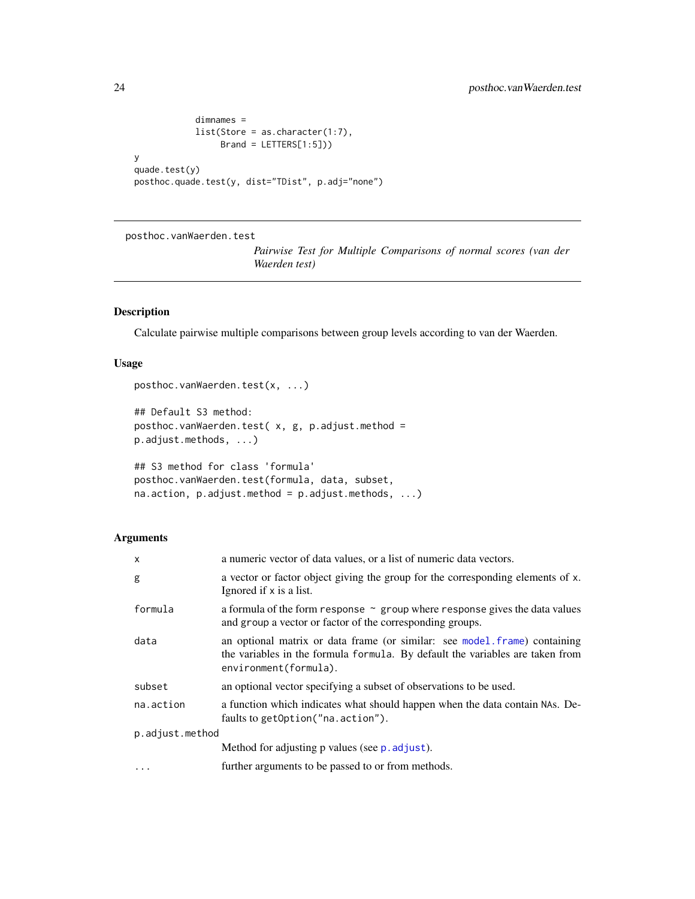```
dimnames =
            list(Store = as.character(1:7),
                Brand = LETTERS[1:5]))
y
quade.test(y)
posthoc.quade.test(y, dist="TDist", p.adj="none")
```
posthoc.vanWaerden.test

*Pairwise Test for Multiple Comparisons of normal scores (van der Waerden test)*

## Description

Calculate pairwise multiple comparisons between group levels according to van der Waerden.

## Usage

```
posthoc.vanWaerden.test(x, ...)
```

```
## Default S3 method:
posthoc.vanWaerden.test( x, g, p.adjust.method =
p.adjust.methods, ...)
```

```
## S3 method for class 'formula'
posthoc.vanWaerden.test(formula, data, subset,
na. action, p. adjust. method = p. adjust. method
```

| x               | a numeric vector of data values, or a list of numeric data vectors.                                                                                                                 |  |
|-----------------|-------------------------------------------------------------------------------------------------------------------------------------------------------------------------------------|--|
| g               | a vector or factor object giving the group for the corresponding elements of x.<br>Ignored if x is a list.                                                                          |  |
| formula         | a formula of the form response $\sim$ group where response gives the data values<br>and group a vector or factor of the corresponding groups.                                       |  |
| data            | an optional matrix or data frame (or similar: see model.frame) containing<br>the variables in the formula formula. By default the variables are taken from<br>environment(formula). |  |
| subset          | an optional vector specifying a subset of observations to be used.                                                                                                                  |  |
| na.action       | a function which indicates what should happen when the data contain NAs. De-<br>faults to getOption("na.action").                                                                   |  |
| p.adjust.method |                                                                                                                                                                                     |  |
|                 | Method for adjusting p values (see p. adjust).                                                                                                                                      |  |
| .               | further arguments to be passed to or from methods.                                                                                                                                  |  |
|                 |                                                                                                                                                                                     |  |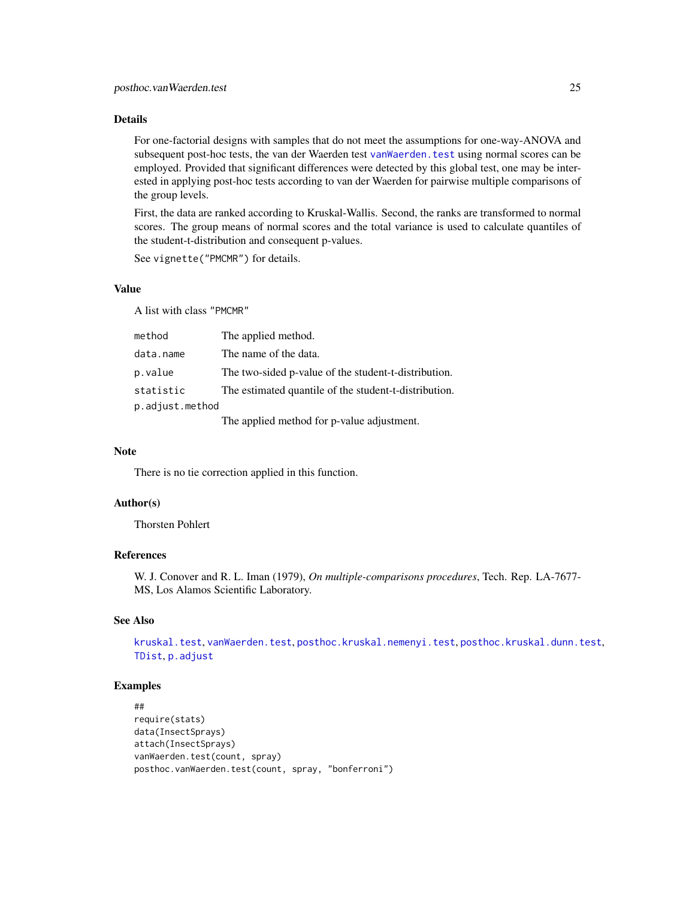<span id="page-24-0"></span>For one-factorial designs with samples that do not meet the assumptions for one-way-ANOVA and subsequent post-hoc tests, the van der Waerden test [vanWaerden.test](#page-26-1) using normal scores can be employed. Provided that significant differences were detected by this global test, one may be interested in applying post-hoc tests according to van der Waerden for pairwise multiple comparisons of the group levels.

First, the data are ranked according to Kruskal-Wallis. Second, the ranks are transformed to normal scores. The group means of normal scores and the total variance is used to calculate quantiles of the student-t-distribution and consequent p-values.

See vignette("PMCMR") for details.

## Value

A list with class "PMCMR"

| method          | The applied method.                                   |
|-----------------|-------------------------------------------------------|
| data.name       | The name of the data.                                 |
| p.value         | The two-sided p-value of the student-t-distribution.  |
| statistic       | The estimated quantile of the student-t-distribution. |
| p.adjust.method |                                                       |
|                 | The applied method for p-value adjustment.            |

## Note

There is no tie correction applied in this function.

#### Author(s)

Thorsten Pohlert

## References

W. J. Conover and R. L. Iman (1979), *On multiple-comparisons procedures*, Tech. Rep. LA-7677- MS, Los Alamos Scientific Laboratory.

#### See Also

[kruskal.test](#page-0-0), [vanWaerden.test](#page-26-1), [posthoc.kruskal.nemenyi.test](#page-19-1), [posthoc.kruskal.dunn.test](#page-17-1), [TDist](#page-0-0), [p.adjust](#page-0-0)

```
##
require(stats)
data(InsectSprays)
attach(InsectSprays)
vanWaerden.test(count, spray)
posthoc.vanWaerden.test(count, spray, "bonferroni")
```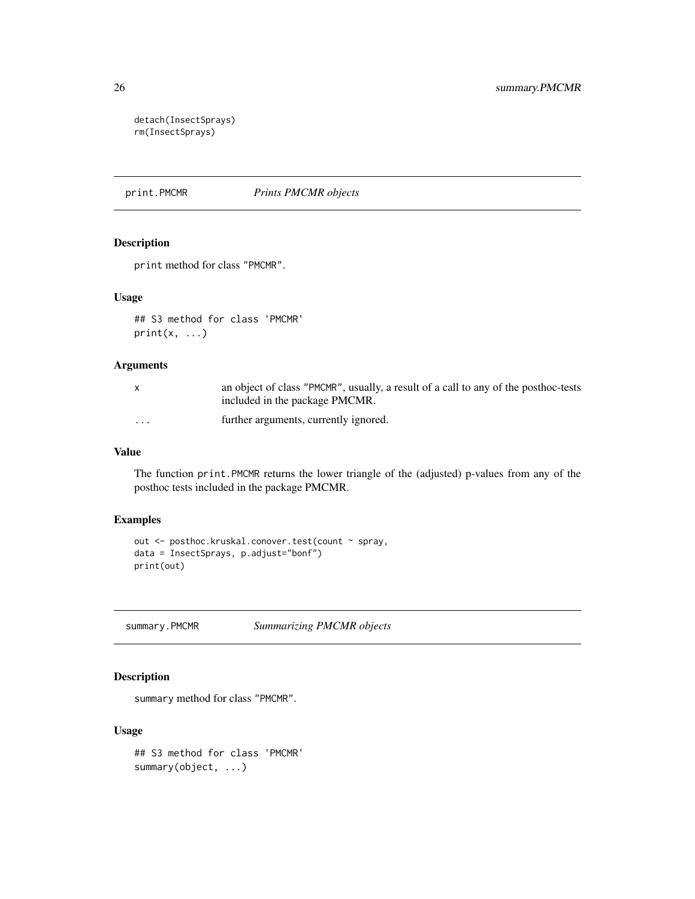detach(InsectSprays) rm(InsectSprays)

<span id="page-25-1"></span>print.PMCMR *Prints PMCMR objects*

## Description

print method for class "PMCMR".

## Usage

```
## S3 method for class 'PMCMR'
print(x, \ldots)
```
### Arguments

|          | an object of class "PMCMR", usually, a result of a call to any of the post-hoc-tests |
|----------|--------------------------------------------------------------------------------------|
|          | included in the package PMCMR.                                                       |
| $\cdots$ | further arguments, currently ignored.                                                |

#### Value

The function print.PMCMR returns the lower triangle of the (adjusted) p-values from any of the posthoc tests included in the package PMCMR.

## Examples

```
out <- posthoc.kruskal.conover.test(count ~ spray,
data = InsectSprays, p.adjust="bonf")
print(out)
```
<span id="page-25-2"></span>summary.PMCMR *Summarizing PMCMR objects*

## Description

summary method for class "PMCMR".

## Usage

```
## S3 method for class 'PMCMR'
summary(object, ...)
```
<span id="page-25-0"></span>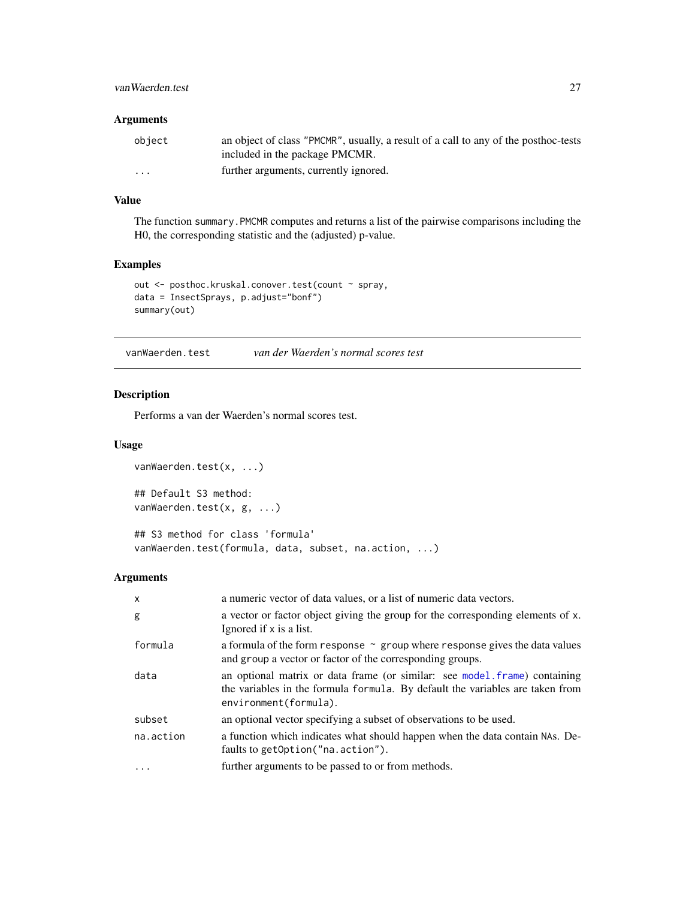## <span id="page-26-0"></span>vanWaerden.test 27

## Arguments

| object               | an object of class "PMCMR", usually, a result of a call to any of the post-hoc-tests<br>included in the package PMCMR. |
|----------------------|------------------------------------------------------------------------------------------------------------------------|
| $\ddot{\phantom{0}}$ | further arguments, currently ignored.                                                                                  |

## Value

The function summary.PMCMR computes and returns a list of the pairwise comparisons including the H0, the corresponding statistic and the (adjusted) p-value.

## Examples

```
out <- posthoc.kruskal.conover.test(count ~ spray,
data = InsectSprays, p.adjust="bonf")
summary(out)
```
<span id="page-26-1"></span>vanWaerden.test *van der Waerden's normal scores test*

## Description

Performs a van der Waerden's normal scores test.

#### Usage

```
vanWaerden.test(x, ...)
## Default S3 method:
vanWaerden.test(x, g, ...)
## S3 method for class 'formula'
```
vanWaerden.test(formula, data, subset, na.action, ...)

| $\mathsf{x}$ | a numeric vector of data values, or a list of numeric data vectors.                                                                                                                 |
|--------------|-------------------------------------------------------------------------------------------------------------------------------------------------------------------------------------|
| g            | a vector or factor object giving the group for the corresponding elements of x.<br>Ignored if x is a list.                                                                          |
| formula      | a formula of the form response $\sim$ group where response gives the data values<br>and group a vector or factor of the corresponding groups.                                       |
| data         | an optional matrix or data frame (or similar: see model frame) containing<br>the variables in the formula formula. By default the variables are taken from<br>environment(formula). |
| subset       | an optional vector specifying a subset of observations to be used.                                                                                                                  |
| na.action    | a function which indicates what should happen when the data contain NAs. De-<br>faults to getOption("na.action").                                                                   |
| $\cdots$     | further arguments to be passed to or from methods.                                                                                                                                  |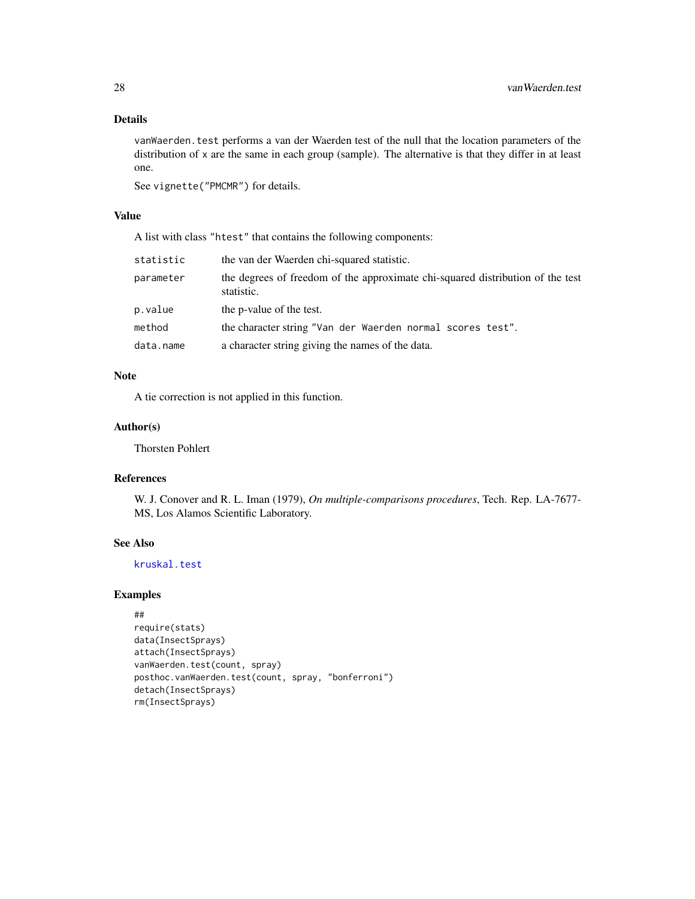<span id="page-27-0"></span>vanWaerden.test performs a van der Waerden test of the null that the location parameters of the distribution of x are the same in each group (sample). The alternative is that they differ in at least one.

See vignette("PMCMR") for details.

#### Value

A list with class "htest" that contains the following components:

| statistic | the van der Waerden chi-squared statistic.                                                   |
|-----------|----------------------------------------------------------------------------------------------|
| parameter | the degrees of freedom of the approximate chi-squared distribution of the test<br>statistic. |
| p.value   | the p-value of the test.                                                                     |
| method    | the character string "Van der Waerden normal scores test".                                   |
| data.name | a character string giving the names of the data.                                             |

## Note

A tie correction is not applied in this function.

## Author(s)

Thorsten Pohlert

## References

W. J. Conover and R. L. Iman (1979), *On multiple-comparisons procedures*, Tech. Rep. LA-7677- MS, Los Alamos Scientific Laboratory.

## See Also

[kruskal.test](#page-0-0)

```
##
require(stats)
data(InsectSprays)
attach(InsectSprays)
vanWaerden.test(count, spray)
posthoc.vanWaerden.test(count, spray, "bonferroni")
detach(InsectSprays)
rm(InsectSprays)
```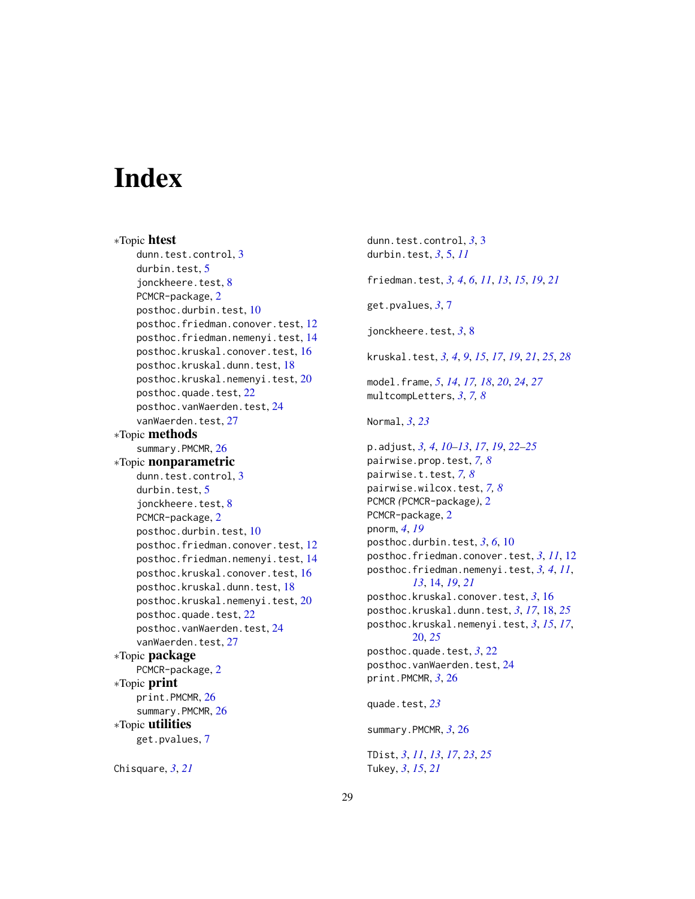# <span id="page-28-0"></span>**Index**

∗Topic htest dunn.test.control, [3](#page-2-0) durbin.test, [5](#page-4-0) jonckheere.test, [8](#page-7-0) PCMCR-package, [2](#page-1-0) posthoc.durbin.test, [10](#page-9-0) posthoc.friedman.conover.test, [12](#page-11-0) posthoc.friedman.nemenyi.test, [14](#page-13-0) posthoc.kruskal.conover.test, [16](#page-15-0) posthoc.kruskal.dunn.test, [18](#page-17-0) posthoc.kruskal.nemenyi.test, [20](#page-19-0) posthoc.quade.test, [22](#page-21-0) posthoc.vanWaerden.test, [24](#page-23-0) vanWaerden.test, [27](#page-26-0) ∗Topic methods summary.PMCMR, [26](#page-25-0) ∗Topic nonparametric dunn.test.control, [3](#page-2-0) durbin.test, [5](#page-4-0) jonckheere.test, [8](#page-7-0) PCMCR-package, [2](#page-1-0) posthoc.durbin.test, [10](#page-9-0) posthoc.friedman.conover.test, [12](#page-11-0) posthoc.friedman.nemenyi.test, [14](#page-13-0) posthoc.kruskal.conover.test, [16](#page-15-0) posthoc.kruskal.dunn.test, [18](#page-17-0) posthoc.kruskal.nemenyi.test, [20](#page-19-0) posthoc.quade.test, [22](#page-21-0) posthoc.vanWaerden.test, [24](#page-23-0) vanWaerden.test, [27](#page-26-0) ∗Topic package PCMCR-package, [2](#page-1-0) ∗Topic print print.PMCMR, [26](#page-25-0) summary.PMCMR, [26](#page-25-0) ∗Topic utilities get.pvalues, [7](#page-6-0)

Chisquare, *[3](#page-2-0)*, *[21](#page-20-0)*

dunn.test.control, *[3](#page-2-0)*, [3](#page-2-0) durbin.test, *[3](#page-2-0)*, [5,](#page-4-0) *[11](#page-10-0)* friedman.test, *[3,](#page-2-0) [4](#page-3-0)*, *[6](#page-5-0)*, *[11](#page-10-0)*, *[13](#page-12-0)*, *[15](#page-14-0)*, *[19](#page-18-0)*, *[21](#page-20-0)* get.pvalues, *[3](#page-2-0)*, [7](#page-6-0) jonckheere.test, *[3](#page-2-0)*, [8](#page-7-0) kruskal.test, *[3,](#page-2-0) [4](#page-3-0)*, *[9](#page-8-0)*, *[15](#page-14-0)*, *[17](#page-16-0)*, *[19](#page-18-0)*, *[21](#page-20-0)*, *[25](#page-24-0)*, *[28](#page-27-0)* model.frame, *[5](#page-4-0)*, *[14](#page-13-0)*, *[17,](#page-16-0) [18](#page-17-0)*, *[20](#page-19-0)*, *[24](#page-23-0)*, *[27](#page-26-0)* multcompLetters, *[3](#page-2-0)*, *[7,](#page-6-0) [8](#page-7-0)* Normal, *[3](#page-2-0)*, *[23](#page-22-0)* p.adjust, *[3,](#page-2-0) [4](#page-3-0)*, *[10](#page-9-0)[–13](#page-12-0)*, *[17](#page-16-0)*, *[19](#page-18-0)*, *[22](#page-21-0)[–25](#page-24-0)* pairwise.prop.test, *[7,](#page-6-0) [8](#page-7-0)* pairwise.t.test, *[7,](#page-6-0) [8](#page-7-0)* pairwise.wilcox.test, *[7,](#page-6-0) [8](#page-7-0)* PCMCR *(*PCMCR-package*)*, [2](#page-1-0) PCMCR-package, [2](#page-1-0) pnorm, *[4](#page-3-0)*, *[19](#page-18-0)* posthoc.durbin.test, *[3](#page-2-0)*, *[6](#page-5-0)*, [10](#page-9-0) posthoc.friedman.conover.test, *[3](#page-2-0)*, *[11](#page-10-0)*, [12](#page-11-0) posthoc.friedman.nemenyi.test, *[3,](#page-2-0) [4](#page-3-0)*, *[11](#page-10-0)*, *[13](#page-12-0)*, [14,](#page-13-0) *[19](#page-18-0)*, *[21](#page-20-0)* posthoc.kruskal.conover.test, *[3](#page-2-0)*, [16](#page-15-0) posthoc.kruskal.dunn.test, *[3](#page-2-0)*, *[17](#page-16-0)*, [18,](#page-17-0) *[25](#page-24-0)* posthoc.kruskal.nemenyi.test, *[3](#page-2-0)*, *[15](#page-14-0)*, *[17](#page-16-0)*, [20,](#page-19-0) *[25](#page-24-0)* posthoc.quade.test, *[3](#page-2-0)*, [22](#page-21-0) posthoc.vanWaerden.test, [24](#page-23-0) print.PMCMR, *[3](#page-2-0)*, [26](#page-25-0) quade.test, *[23](#page-22-0)* summary.PMCMR, *[3](#page-2-0)*, [26](#page-25-0) TDist, *[3](#page-2-0)*, *[11](#page-10-0)*, *[13](#page-12-0)*, *[17](#page-16-0)*, *[23](#page-22-0)*, *[25](#page-24-0)*

Tukey, *[3](#page-2-0)*, *[15](#page-14-0)*, *[21](#page-20-0)*